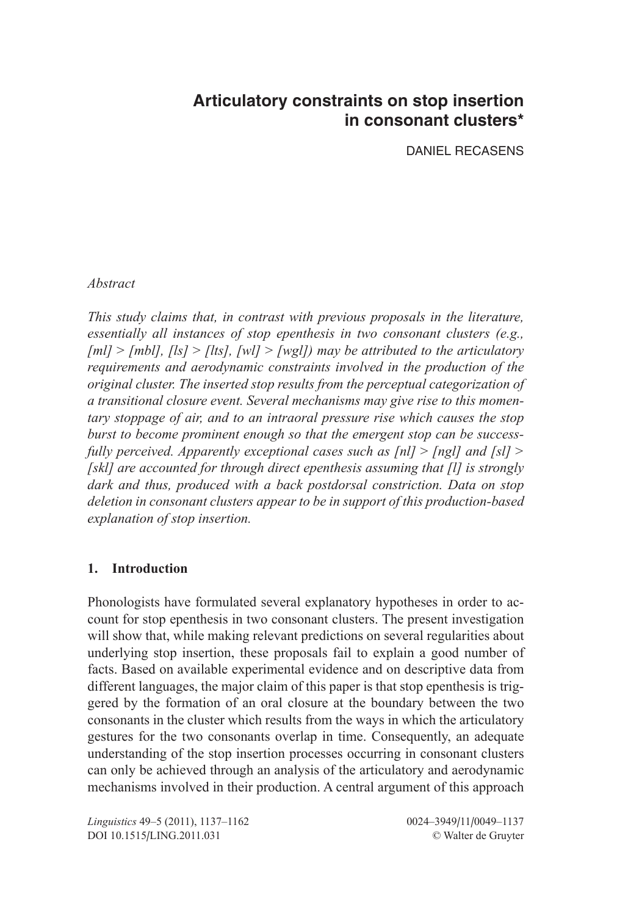# **Articulatory constraints on stop insertion in consonant clusters\***

DANIEL RECASENS

### *Abstract*

*This study claims that, in contrast with previous proposals in the literature, essentially all instances of stop epenthesis in two consonant clusters (e.g., [ml] > [mbl], [ls] > [lts], [wl] > [wgl]) may be attributed to the articulatory requirements and aerodynamic constraints involved in the production of the original cluster. The inserted stop results from the perceptual categorization of a transitional closure event. Several mechanisms may give rise to this momentary stoppage of air, and to an intraoral pressure rise which causes the stop burst to become prominent enough so that the emergent stop can be successfully perceived. Apparently exceptional cases such as [nl] > [ngl] and [sl] > [skl] are accounted for through direct epenthesis assuming that [l] is strongly dark and thus, produced with a back postdorsal constriction. Data on stop deletion in consonant clusters appear to be in support of this production-based explanation of stop insertion.*

### **1. Introduction**

Phonologists have formulated several explanatory hypotheses in order to account for stop epenthesis in two consonant clusters. The present investigation will show that, while making relevant predictions on several regularities about underlying stop insertion, these proposals fail to explain a good number of facts. Based on available experimental evidence and on descriptive data from different languages, the major claim of this paper is that stop epenthesis is triggered by the formation of an oral closure at the boundary between the two consonants in the cluster which results from the ways in which the articulatory gestures for the two consonants overlap in time. Consequently, an adequate understanding of the stop insertion processes occurring in consonant clusters can only be achieved through an analysis of the articulatory and aerodynamic mechanisms involved in their production. A central argument of this approach

*Linguistics* 49–5 (2011), 1137–1162 0024–3949/11/0049–1137 DOI 10.1515/LING.2011.031 © Walter de Gruyter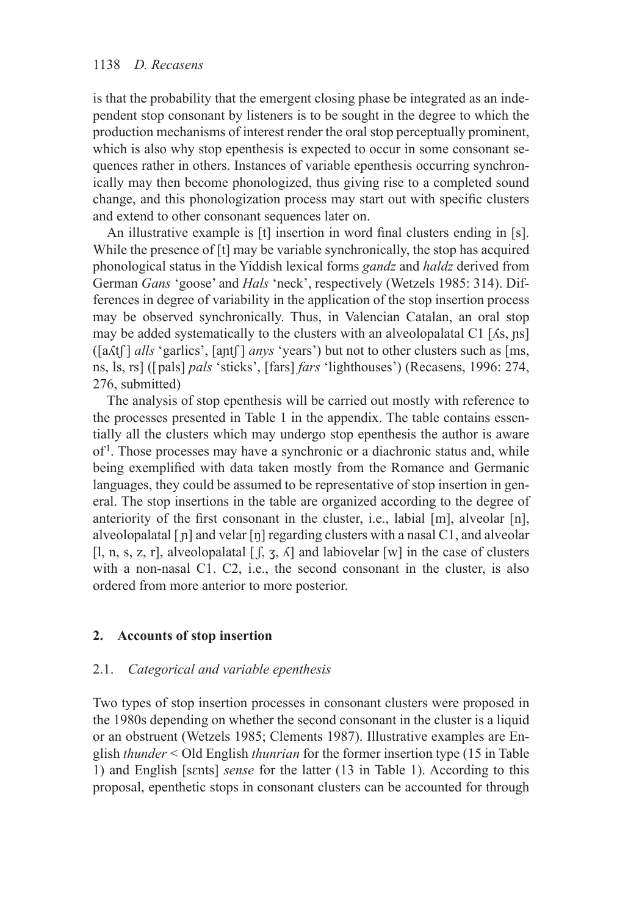is that the probability that the emergent closing phase be integrated as an independent stop consonant by listeners is to be sought in the degree to which the production mechanisms of interest render the oral stop perceptually prominent, which is also why stop epenthesis is expected to occur in some consonant sequences rather in others. Instances of variable epenthesis occurring synchronically may then become phonologized, thus giving rise to a completed sound change, and this phonologization process may start out with specific clusters and extend to other consonant sequences later on.

An illustrative example is [t] insertion in word final clusters ending in [s]. While the presence of [t] may be variable synchronically, the stop has acquired phonological status in the Yiddish lexical forms *gandz* and *haldz* derived from German *Gans* 'goose' and *Hals* 'neck', respectively (Wetzels 1985: 314). Differences in degree of variability in the application of the stop insertion process may be observed synchronically. Thus, in Valencian Catalan, an oral stop may be added systematically to the clusters with an alveolopalatal C1 [ʎs, ɲs] ([aʎtʃ  ] *alls* 'garlics', [aɲtʃ  ] *anys* 'years') but not to other clusters such as [ms, ns, ls, rs] ([ pals] *pals* 'sticks', [fars] *fars* 'lighthouses') (Recasens, 1996: 274, 276, submitted)

The analysis of stop epenthesis will be carried out mostly with reference to the processes presented in Table 1 in the appendix. The table contains essentially all the clusters which may undergo stop epenthesis the author is aware of<sup>1</sup>. Those processes may have a synchronic or a diachronic status and, while being exemplified with data taken mostly from the Romance and Germanic languages, they could be assumed to be representative of stop insertion in general. The stop insertions in the table are organized according to the degree of anteriority of the first consonant in the cluster, i.e., labial [m], alveolar [n], alveolopalatal  $[n]$  and velar  $[n]$  regarding clusters with a nasal C1, and alveolar [l, n, s, z, r], alveolopalatal  $[\, \int, \, \cdot \, \cdot, \, \cdot]$  and labiovelar [w] in the case of clusters with a non-nasal C1. C2, i.e., the second consonant in the cluster, is also ordered from more anterior to more posterior.

# **2. Accounts of stop insertion**

# 2.1. *Categorical and variable epenthesis*

Two types of stop insertion processes in consonant clusters were proposed in the 1980s depending on whether the second consonant in the cluster is a liquid or an obstruent (Wetzels 1985; Clements 1987). Illustrative examples are English *thunder* < Old English *thunrian* for the former insertion type (15 in Table 1) and English [sɛnts] *sense* for the latter (13 in Table 1). According to this proposal, epenthetic stops in consonant clusters can be accounted for through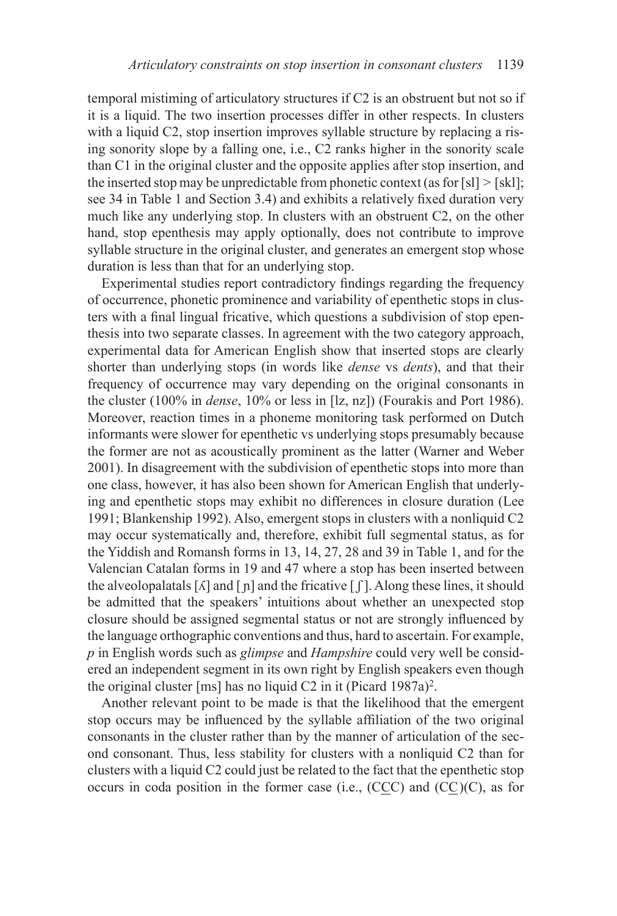temporal mistiming of articulatory structures if C2 is an obstruent but not so if it is a liquid. The two insertion processes differ in other respects. In clusters with a liquid C2, stop insertion improves syllable structure by replacing a rising sonority slope by a falling one, i.e., C2 ranks higher in the sonority scale than C1 in the original cluster and the opposite applies after stop insertion, and the inserted stop may be unpredictable from phonetic context (as for  $[s] > [sk]$ ; see 34 in Table 1 and Section 3.4) and exhibits a relatively fixed duration very much like any underlying stop. In clusters with an obstruent C2, on the other hand, stop epenthesis may apply optionally, does not contribute to improve syllable structure in the original cluster, and generates an emergent stop whose duration is less than that for an underlying stop.

Experimental studies report contradictory findings regarding the frequency of occurrence, phonetic prominence and variability of epenthetic stops in clusters with a final lingual fricative, which questions a subdivision of stop epenthesis into two separate classes. In agreement with the two category approach, experimental data for American English show that inserted stops are clearly shorter than underlying stops (in words like *dense* vs *dents*), and that their frequency of occurrence may vary depending on the original consonants in the cluster (100% in *dense*, 10% or less in [lz, nz]) (Fourakis and Port 1986). Moreover, reaction times in a phoneme monitoring task performed on Dutch informants were slower for epenthetic vs underlying stops presumably because the former are not as acoustically prominent as the latter (Warner and Weber 2001). In disagreement with the subdivision of epenthetic stops into more than one class, however, it has also been shown for American English that underlying and epenthetic stops may exhibit no differences in closure duration (Lee 1991; Blankenship 1992). Also, emergent stops in clusters with a nonliquid C2 may occur systematically and, therefore, exhibit full segmental status, as for the Yiddish and Romansh forms in 13, 14, 27, 28 and 39 in Table 1, and for the Valencian Catalan forms in 19 and 47 where a stop has been inserted between the alveolopalatals  $\lceil \Lambda \rceil$  and  $\lceil \eta \rceil$  and the fricative  $\lceil \int \rceil$ . Along these lines, it should be admitted that the speakers' intuitions about whether an unexpected stop closure should be assigned segmental status or not are strongly influenced by the language orthographic conventions and thus, hard to ascertain. For example, *p* in English words such as *glimpse* and *Hampshire* could very well be considered an independent segment in its own right by English speakers even though the original cluster [ms] has no liquid C2 in it (Picard 1987a)2.

Another relevant point to be made is that the likelihood that the emergent stop occurs may be influenced by the syllable affiliation of the two original consonants in the cluster rather than by the manner of articulation of the second consonant. Thus, less stability for clusters with a nonliquid C2 than for clusters with a liquid C2 could just be related to the fact that the epenthetic stop occurs in coda position in the former case (i.e.,  $(CCC)$  and  $(CC)(C)$ , as for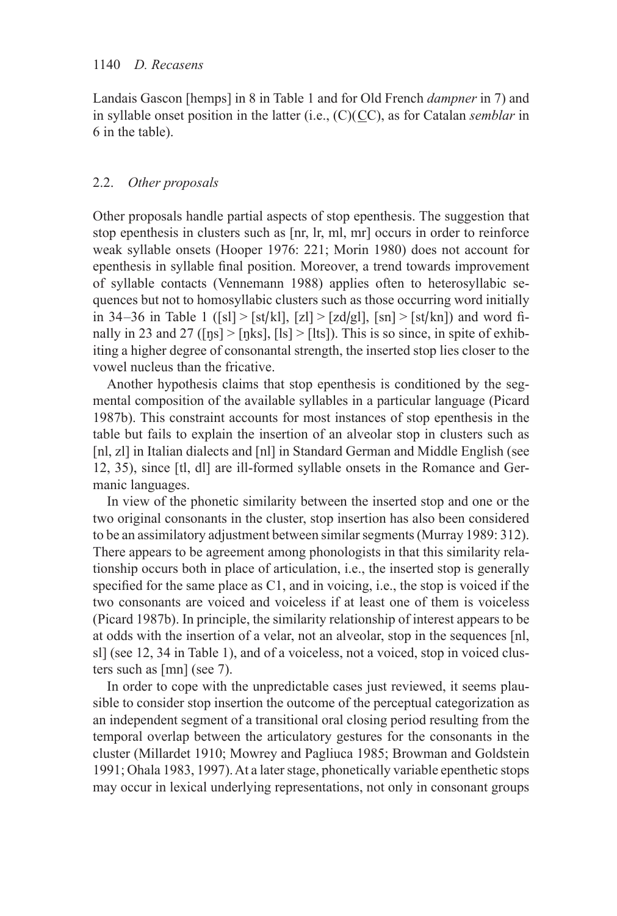Landais Gascon [hemps] in 8 in Table 1 and for Old French *dampner* in 7) and in syllable onset position in the latter (i.e., (C)( CC), as for Catalan *semblar* in 6 in the table).

# 2.2. *Other proposals*

Other proposals handle partial aspects of stop epenthesis. The suggestion that stop epenthesis in clusters such as [nr, lr, ml, mr] occurs in order to reinforce weak syllable onsets (Hooper 1976: 221; Morin 1980) does not account for epenthesis in syllable final position. Moreover, a trend towards improvement of syllable contacts (Vennemann 1988) applies often to heterosyllabic sequences but not to homosyllabic clusters such as those occurring word initially in 34–36 in Table 1 ([sl] > [st/kl], [zl] > [zd/gl], [sn] > [st/kn]) and word finally in 23 and 27 ( $\lceil \text{ns} \rceil$  >  $\lceil \text{nks} \rceil$ ,  $\lceil \text{ls} \rceil$  >  $\lceil \text{lts} \rceil$ ). This is so since, in spite of exhibiting a higher degree of consonantal strength, the inserted stop lies closer to the vowel nucleus than the fricative.

Another hypothesis claims that stop epenthesis is conditioned by the segmental composition of the available syllables in a particular language (Picard 1987b). This constraint accounts for most instances of stop epenthesis in the table but fails to explain the insertion of an alveolar stop in clusters such as [nl, zl] in Italian dialects and [nl] in Standard German and Middle English (see 12, 35), since [tl, dl] are ill-formed syllable onsets in the Romance and Germanic languages.

In view of the phonetic similarity between the inserted stop and one or the two original consonants in the cluster, stop insertion has also been considered to be an assimilatory adjustment between similar segments (Murray 1989: 312). There appears to be agreement among phonologists in that this similarity relationship occurs both in place of articulation, i.e., the inserted stop is generally specified for the same place as C1, and in voicing, i.e., the stop is voiced if the two consonants are voiced and voiceless if at least one of them is voiceless (Picard 1987b). In principle, the similarity relationship of interest appears to be at odds with the insertion of a velar, not an alveolar, stop in the sequences [nl, sl] (see 12, 34 in Table 1), and of a voiceless, not a voiced, stop in voiced clusters such as [mn] (see 7).

In order to cope with the unpredictable cases just reviewed, it seems plausible to consider stop insertion the outcome of the perceptual categorization as an independent segment of a transitional oral closing period resulting from the temporal overlap between the articulatory gestures for the consonants in the cluster (Millardet 1910; Mowrey and Pagliuca 1985; Browman and Goldstein 1991; Ohala 1983, 1997). At a later stage, phonetically variable epenthetic stops may occur in lexical underlying representations, not only in consonant groups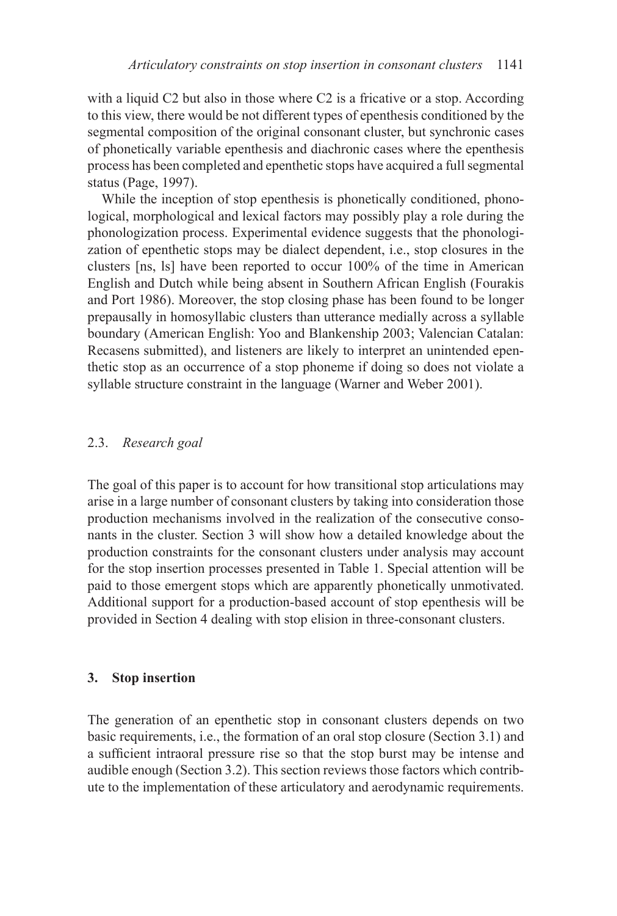with a liquid C2 but also in those where C2 is a fricative or a stop. According to this view, there would be not different types of epenthesis conditioned by the segmental composition of the original consonant cluster, but synchronic cases of phonetically variable epenthesis and diachronic cases where the epenthesis process has been completed and epenthetic stops have acquired a full segmental status (Page, 1997).

While the inception of stop epenthesis is phonetically conditioned, phonological, morphological and lexical factors may possibly play a role during the phonologization process. Experimental evidence suggests that the phonologization of epenthetic stops may be dialect dependent, i.e., stop closures in the clusters [ns, ls] have been reported to occur 100% of the time in American English and Dutch while being absent in Southern African English (Fourakis and Port 1986). Moreover, the stop closing phase has been found to be longer prepausally in homosyllabic clusters than utterance medially across a syllable boundary (American English: Yoo and Blankenship 2003; Valencian Catalan: Recasens submitted), and listeners are likely to interpret an unintended epenthetic stop as an occurrence of a stop phoneme if doing so does not violate a syllable structure constraint in the language (Warner and Weber 2001).

### 2.3. *Research goal*

The goal of this paper is to account for how transitional stop articulations may arise in a large number of consonant clusters by taking into consideration those production mechanisms involved in the realization of the consecutive consonants in the cluster. Section 3 will show how a detailed knowledge about the production constraints for the consonant clusters under analysis may account for the stop insertion processes presented in Table 1. Special attention will be paid to those emergent stops which are apparently phonetically unmotivated. Additional support for a production-based account of stop epenthesis will be provided in Section 4 dealing with stop elision in three-consonant clusters.

### **3. Stop insertion**

The generation of an epenthetic stop in consonant clusters depends on two basic requirements, i.e., the formation of an oral stop closure (Section 3.1) and a sufficient intraoral pressure rise so that the stop burst may be intense and audible enough (Section 3.2). This section reviews those factors which contribute to the implementation of these articulatory and aerodynamic requirements.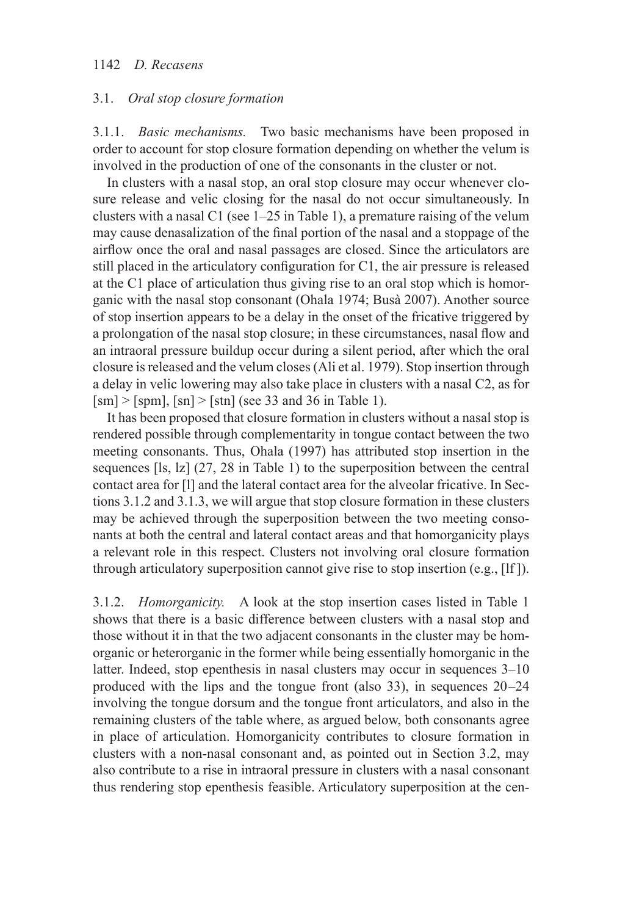### 3.1. *Oral stop closure formation*

3.1.1. *Basic mechanisms.* Two basic mechanisms have been proposed in order to account for stop closure formation depending on whether the velum is involved in the production of one of the consonants in the cluster or not.

In clusters with a nasal stop, an oral stop closure may occur whenever closure release and velic closing for the nasal do not occur simultaneously. In clusters with a nasal C1 (see 1–25 in Table 1), a premature raising of the velum may cause denasalization of the final portion of the nasal and a stoppage of the airflow once the oral and nasal passages are closed. Since the articulators are still placed in the articulatory configuration for C1, the air pressure is released at the C1 place of articulation thus giving rise to an oral stop which is homorganic with the nasal stop consonant (Ohala 1974; Busà 2007). Another source of stop insertion appears to be a delay in the onset of the fricative triggered by a prolongation of the nasal stop closure; in these circumstances, nasal flow and an intraoral pressure buildup occur during a silent period, after which the oral closure is released and the velum closes (Ali et al. 1979). Stop insertion through a delay in velic lowering may also take place in clusters with a nasal C2, as for  $[sm] > [spm]$ ,  $[sn] > [stn]$  (see 33 and 36 in Table 1).

It has been proposed that closure formation in clusters without a nasal stop is rendered possible through complementarity in tongue contact between the two meeting consonants. Thus, Ohala (1997) has attributed stop insertion in the sequences [ls, lz] (27, 28 in Table 1) to the superposition between the central contact area for [l] and the lateral contact area for the alveolar fricative. In Sections 3.1.2 and 3.1.3, we will argue that stop closure formation in these clusters may be achieved through the superposition between the two meeting consonants at both the central and lateral contact areas and that homorganicity plays a relevant role in this respect. Clusters not involving oral closure formation through articulatory superposition cannot give rise to stop insertion (e.g., [lf  ]).

3.1.2. *Homorganicity.* A look at the stop insertion cases listed in Table 1 shows that there is a basic difference between clusters with a nasal stop and those without it in that the two adjacent consonants in the cluster may be homorganic or heterorganic in the former while being essentially homorganic in the latter. Indeed, stop epenthesis in nasal clusters may occur in sequences 3–10 produced with the lips and the tongue front (also 33), in sequences 20 –24 involving the tongue dorsum and the tongue front articulators, and also in the remaining clusters of the table where, as argued below, both consonants agree in place of articulation. Homorganicity contributes to closure formation in clusters with a non-nasal consonant and, as pointed out in Section 3.2, may also contribute to a rise in intraoral pressure in clusters with a nasal consonant thus rendering stop epenthesis feasible. Articulatory superposition at the cen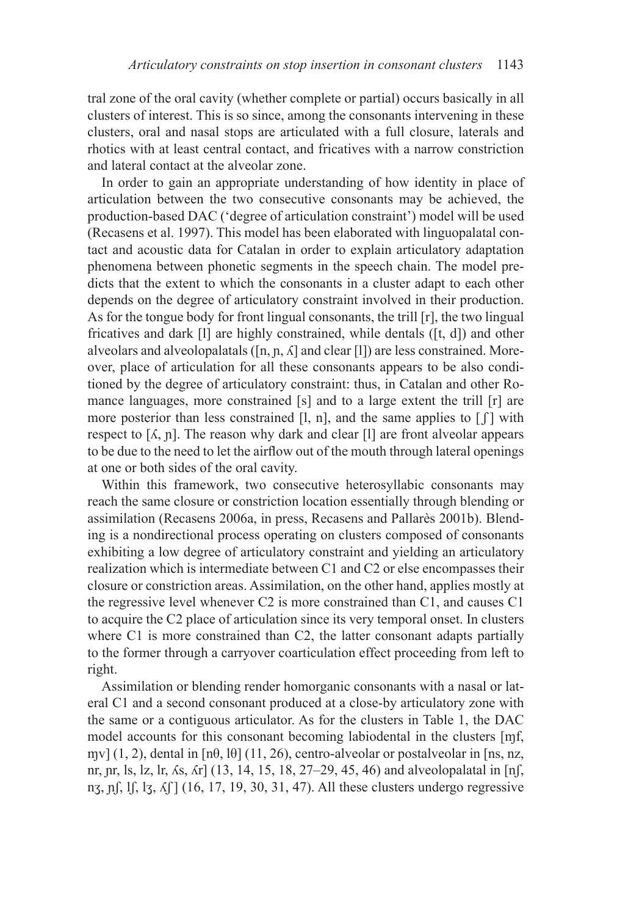tral zone of the oral cavity (whether complete or partial) occurs basically in all clusters of interest. This is so since, among the consonants intervening in these clusters, oral and nasal stops are articulated with a full closure, laterals and rhotics with at least central contact, and fricatives with a narrow constriction and lateral contact at the alveolar zone.

In order to gain an appropriate understanding of how identity in place of articulation between the two consecutive consonants may be achieved, the production-based DAC ('degree of articulation constraint') model will be used (Recasens et al. 1997). This model has been elaborated with linguopalatal contact and acoustic data for Catalan in order to explain articulatory adaptation phenomena between phonetic segments in the speech chain. The model predicts that the extent to which the consonants in a cluster adapt to each other depends on the degree of articulatory constraint involved in their production. As for the tongue body for front lingual consonants, the trill [r], the two lingual fricatives and dark [l] are highly constrained, while dentals ([t, d]) and other alveolars and alveolopalatals ([n, ɲ, ʎ] and clear [l]) are less constrained. Moreover, place of articulation for all these consonants appears to be also conditioned by the degree of articulatory constraint: thus, in Catalan and other Romance languages, more constrained [s] and to a large extent the trill [r] are more posterior than less constrained  $[I, n]$ , and the same applies to  $[f]$  with respect to [ʎ, ɲ]. The reason why dark and clear [l] are front alveolar appears to be due to the need to let the airflow out of the mouth through lateral openings at one or both sides of the oral cavity.

Within this framework, two consecutive heterosyllabic consonants may reach the same closure or constriction location essentially through blending or assimilation (Recasens 2006a, in press, Recasens and Pallarès 2001b). Blending is a nondirectional process operating on clusters composed of consonants exhibiting a low degree of articulatory constraint and yielding an articulatory realization which is intermediate between C1 and C2 or else encompasses their closure or constriction areas. Assimilation, on the other hand, applies mostly at the regressive level whenever C2 is more constrained than C1, and causes C1 to acquire the C2 place of articulation since its very temporal onset. In clusters where C1 is more constrained than C2, the latter consonant adapts partially to the former through a carryover coarticulation effect proceeding from left to right.

Assimilation or blending render homorganic consonants with a nasal or lateral C1 and a second consonant produced at a close-by articulatory zone with the same or a contiguous articulator. As for the clusters in Table 1, the DAC model accounts for this consonant becoming labiodental in the clusters [ɱf,  $\text{my}$ ] (1, 2), dental in [nθ, lθ] (11, 26), centro-alveolar or postalveolar in [ns, nz, nr, ɲr, ls, lz, lr, ʎs, ʎr] (13, 14, 15, 18, 27–29, 45, 46) and alveolopalatal in [nʃ, nz, nf, lf, lz,  $\Lambda$ f $\vert$  (16, 17, 19, 30, 31, 47). All these clusters undergo regressive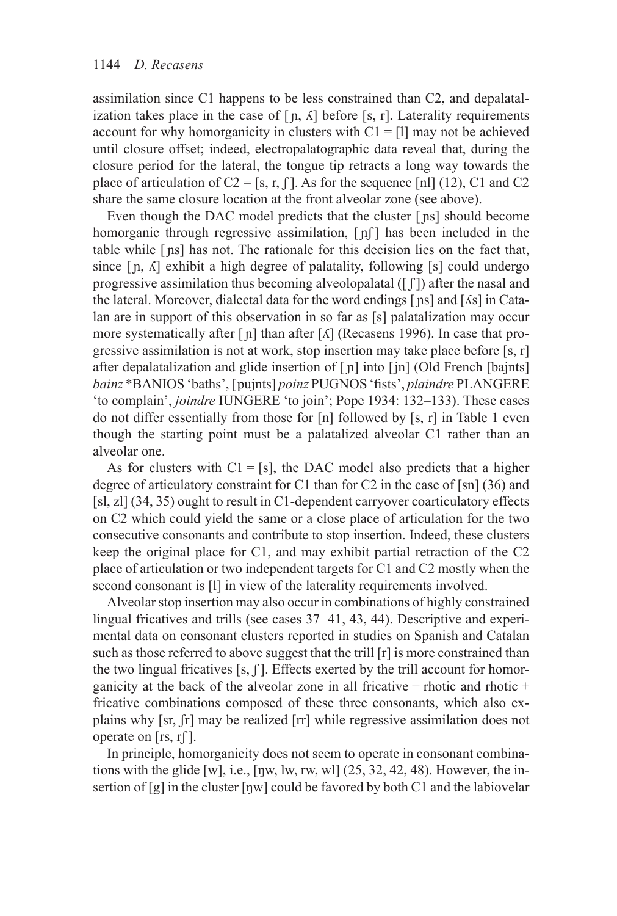assimilation since C1 happens to be less constrained than C2, and depalatalization takes place in the case of  $[n, \Lambda]$  before  $[s, r]$ . Laterality requirements account for why homorganicity in clusters with  $Cl = [1]$  may not be achieved until closure offset; indeed, electropalatographic data reveal that, during the closure period for the lateral, the tongue tip retracts a long way towards the place of articulation of C2 = [s, r, f]. As for the sequence [nl] (12), C1 and C2 share the same closure location at the front alveolar zone (see above).

Even though the DAC model predicts that the cluster [ns] should become homorganic through regressive assimilation,  $\lceil \eta \rceil$  has been included in the table while [  ɲs] has not. The rationale for this decision lies on the fact that, since  $[n, \Lambda]$  exhibit a high degree of palatality, following  $[s]$  could undergo progressive assimilation thus becoming alveolopalatal  $(\lceil \nceil)$  after the nasal and the lateral. Moreover, dialectal data for the word endings [  ɲs] and [ʎs] in Catalan are in support of this observation in so far as [s] palatalization may occur more systematically after  $\lceil$  n than after  $\lceil \Lambda \rceil$  (Recasens 1996). In case that progressive assimilation is not at work, stop insertion may take place before [s, r] after depalatalization and glide insertion of [n] into [jn] (Old French [bajnts] *bainz* \*BANIOS 'baths', [ pujnts] *poinz* PUGNOS 'fists', *plaindre* PLANGERE 'to complain', *joindre* IUNGERE 'to join'; Pope 1934: 132–133). These cases do not differ essentially from those for [n] followed by [s, r] in Table 1 even though the starting point must be a palatalized alveolar C1 rather than an alveolar one.

As for clusters with  $Cl = [s]$ , the DAC model also predicts that a higher degree of articulatory constraint for C1 than for C2 in the case of [sn] (36) and [sl, zl] (34, 35) ought to result in C1-dependent carryover coarticulatory effects on C2 which could yield the same or a close place of articulation for the two consecutive consonants and contribute to stop insertion. Indeed, these clusters keep the original place for C1, and may exhibit partial retraction of the C2 place of articulation or two independent targets for C1 and C2 mostly when the second consonant is [l] in view of the laterality requirements involved.

Alveolar stop insertion may also occur in combinations of highly constrained lingual fricatives and trills (see cases 37–41, 43, 44). Descriptive and experimental data on consonant clusters reported in studies on Spanish and Catalan such as those referred to above suggest that the trill [r] is more constrained than the two lingual fricatives  $[s, f]$ . Effects exerted by the trill account for homorganicity at the back of the alveolar zone in all fricative + rhotic and rhotic + fricative combinations composed of these three consonants, which also explains why [sr, ʃr] may be realized [rr] while regressive assimilation does not operate on [rs,  $r$ [].

In principle, homorganicity does not seem to operate in consonant combinations with the glide  $[w]$ , i.e.,  $[y]$ , lw, rw, wl $[y]$  (25, 32, 42, 48). However, the insertion of [g] in the cluster [ŋw] could be favored by both C1 and the labiovelar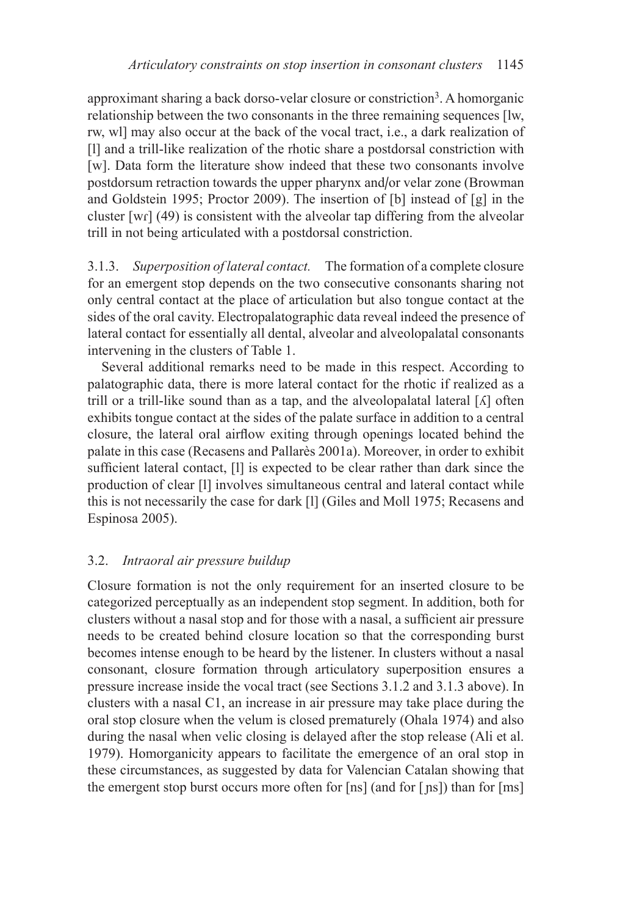approximant sharing a back dorso-velar closure or constriction3. A homorganic relationship between the two consonants in the three remaining sequences [lw, rw, wl] may also occur at the back of the vocal tract, i.e., a dark realization of [l] and a trill-like realization of the rhotic share a postdorsal constriction with [w]. Data form the literature show indeed that these two consonants involve postdorsum retraction towards the upper pharynx and/or velar zone (Browman and Goldstein 1995; Proctor 2009). The insertion of [b] instead of [g] in the cluster [wɾ] (49) is consistent with the alveolar tap differing from the alveolar trill in not being articulated with a postdorsal constriction.

3.1.3. *Superposition of lateral contact.* The formation of a complete closure for an emergent stop depends on the two consecutive consonants sharing not only central contact at the place of articulation but also tongue contact at the sides of the oral cavity. Electropalatographic data reveal indeed the presence of lateral contact for essentially all dental, alveolar and alveolopalatal consonants intervening in the clusters of Table 1.

Several additional remarks need to be made in this respect. According to palatographic data, there is more lateral contact for the rhotic if realized as a trill or a trill-like sound than as a tap, and the alveolopalatal lateral [ʎ] often exhibits tongue contact at the sides of the palate surface in addition to a central closure, the lateral oral airflow exiting through openings located behind the palate in this case (Recasens and Pallarès 2001a). Moreover, in order to exhibit sufficient lateral contact, [l] is expected to be clear rather than dark since the production of clear [l] involves simultaneous central and lateral contact while this is not necessarily the case for dark [l] (Giles and Moll 1975; Recasens and Espinosa 2005).

# 3.2. *Intraoral air pressure buildup*

Closure formation is not the only requirement for an inserted closure to be categorized perceptually as an independent stop segment. In addition, both for clusters without a nasal stop and for those with a nasal, a sufficient air pressure needs to be created behind closure location so that the corresponding burst becomes intense enough to be heard by the listener. In clusters without a nasal consonant, closure formation through articulatory superposition ensures a pressure increase inside the vocal tract (see Sections 3.1.2 and 3.1.3 above). In clusters with a nasal C1, an increase in air pressure may take place during the oral stop closure when the velum is closed prematurely (Ohala 1974) and also during the nasal when velic closing is delayed after the stop release (Ali et al. 1979). Homorganicity appears to facilitate the emergence of an oral stop in these circumstances, as suggested by data for Valencian Catalan showing that the emergent stop burst occurs more often for  $[ns]$  (and for  $[ns]$ ) than for  $[ms]$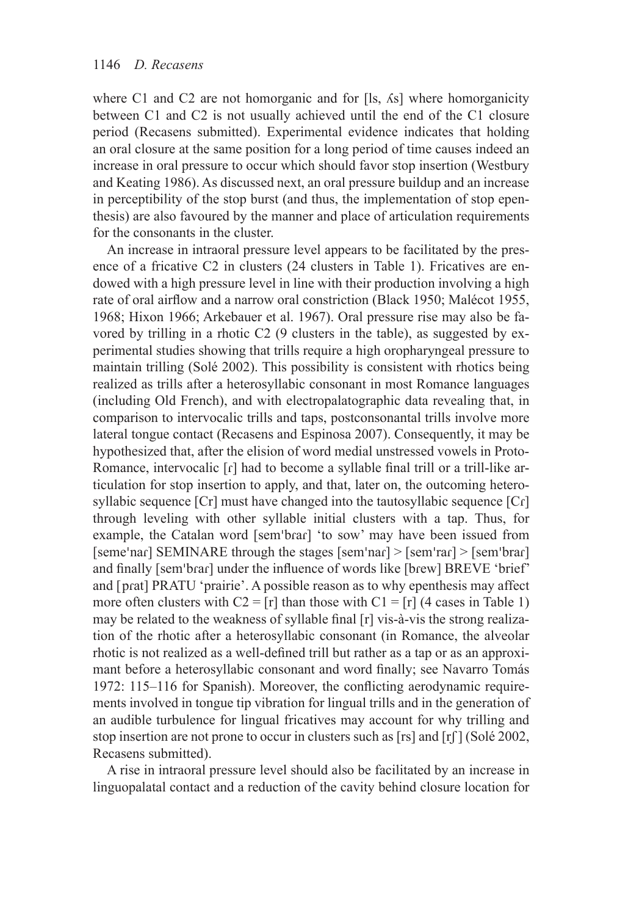where C1 and C2 are not homorganic and for [ls,  $\Delta s$ ] where homorganicity between C1 and C2 is not usually achieved until the end of the C1 closure period (Recasens submitted). Experimental evidence indicates that holding an oral closure at the same position for a long period of time causes indeed an increase in oral pressure to occur which should favor stop insertion (Westbury and Keating 1986). As discussed next, an oral pressure buildup and an increase in perceptibility of the stop burst (and thus, the implementation of stop epenthesis) are also favoured by the manner and place of articulation requirements for the consonants in the cluster.

An increase in intraoral pressure level appears to be facilitated by the presence of a fricative C2 in clusters (24 clusters in Table 1). Fricatives are endowed with a high pressure level in line with their production involving a high rate of oral airflow and a narrow oral constriction (Black 1950; Malécot 1955, 1968; Hixon 1966; Arkebauer et al. 1967). Oral pressure rise may also be favored by trilling in a rhotic C2 (9 clusters in the table), as suggested by experimental studies showing that trills require a high oropharyngeal pressure to maintain trilling (Solé 2002). This possibility is consistent with rhotics being realized as trills after a heterosyllabic consonant in most Romance languages (including Old French), and with electropalatographic data revealing that, in comparison to intervocalic trills and taps, postconsonantal trills involve more lateral tongue contact (Recasens and Espinosa 2007). Consequently, it may be hypothesized that, after the elision of word medial unstressed vowels in Proto-Romance, intervocalic [r] had to become a syllable final trill or a trill-like articulation for stop insertion to apply, and that, later on, the outcoming heterosyllabic sequence [Cr] must have changed into the tautosyllabic sequence [Cɾ] through leveling with other syllable initial clusters with a tap. Thus, for example, the Catalan word [sem'brar] 'to sow' may have been issued from [seme'nar] SEMINARE through the stages [sem'nar] > [sem'rar] > [sem'brar] and finally [sem'brar] under the influence of words like [brew] BREVE 'brief' and [ pɾat] PRATU 'prairie'. A possible reason as to why epenthesis may affect more often clusters with  $C2 = [r]$  than those with  $C1 = [r]$  (4 cases in Table 1) may be related to the weakness of syllable final [r] vis-à-vis the strong realization of the rhotic after a heterosyllabic consonant (in Romance, the alveolar rhotic is not realized as a well-defined trill but rather as a tap or as an approximant before a heterosyllabic consonant and word finally; see Navarro Tomás 1972: 115–116 for Spanish). Moreover, the conflicting aerodynamic requirements involved in tongue tip vibration for lingual trills and in the generation of an audible turbulence for lingual fricatives may account for why trilling and stop insertion are not prone to occur in clusters such as [rs] and [rʃ  ] (Solé 2002, Recasens submitted).

A rise in intraoral pressure level should also be facilitated by an increase in linguopalatal contact and a reduction of the cavity behind closure location for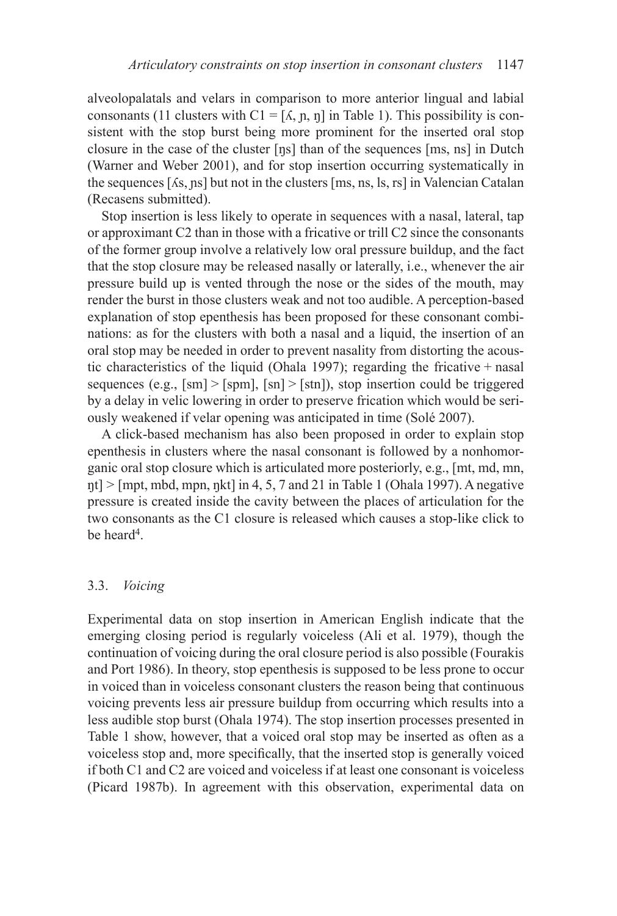alveolopalatals and velars in comparison to more anterior lingual and labial consonants (11 clusters with C1 =  $[\Lambda, \eta, \eta]$  in Table 1). This possibility is consistent with the stop burst being more prominent for the inserted oral stop closure in the case of the cluster [ŋs] than of the sequences [ms, ns] in Dutch (Warner and Weber 2001), and for stop insertion occurring systematically in the sequences [ʎs, ɲs] but not in the clusters [ms, ns, ls, rs] in Valencian Catalan (Recasens submitted).

Stop insertion is less likely to operate in sequences with a nasal, lateral, tap or approximant C2 than in those with a fricative or trill C2 since the consonants of the former group involve a relatively low oral pressure buildup, and the fact that the stop closure may be released nasally or laterally, i.e., whenever the air pressure build up is vented through the nose or the sides of the mouth, may render the burst in those clusters weak and not too audible. A perception-based explanation of stop epenthesis has been proposed for these consonant combinations: as for the clusters with both a nasal and a liquid, the insertion of an oral stop may be needed in order to prevent nasality from distorting the acoustic characteristics of the liquid (Ohala 1997); regarding the fricative + nasal sequences (e.g.,  $\lceil \text{sm} \rceil$  >  $\lceil \text{sm} \rceil$ ),  $\lceil \text{sm} \rceil$ ), stop insertion could be triggered by a delay in velic lowering in order to preserve frication which would be seriously weakened if velar opening was anticipated in time (Solé 2007).

A click-based mechanism has also been proposed in order to explain stop epenthesis in clusters where the nasal consonant is followed by a nonhomorganic oral stop closure which is articulated more posteriorly, e.g., [mt, md, mn,  $\eta$ t] > [mpt, mbd, mpn,  $\eta$ kt] in 4, 5, 7 and 21 in Table 1 (Ohala 1997). A negative pressure is created inside the cavity between the places of articulation for the two consonants as the C1 closure is released which causes a stop-like click to be heard4.

### 3.3. *Voicing*

Experimental data on stop insertion in American English indicate that the emerging closing period is regularly voiceless (Ali et al. 1979), though the continuation of voicing during the oral closure period is also possible (Fourakis and Port 1986). In theory, stop epenthesis is supposed to be less prone to occur in voiced than in voiceless consonant clusters the reason being that continuous voicing prevents less air pressure buildup from occurring which results into a less audible stop burst (Ohala 1974). The stop insertion processes presented in Table 1 show, however, that a voiced oral stop may be inserted as often as a voiceless stop and, more specifically, that the inserted stop is generally voiced if both C1 and C2 are voiced and voiceless if at least one consonant is voiceless (Picard 1987b). In agreement with this observation, experimental data on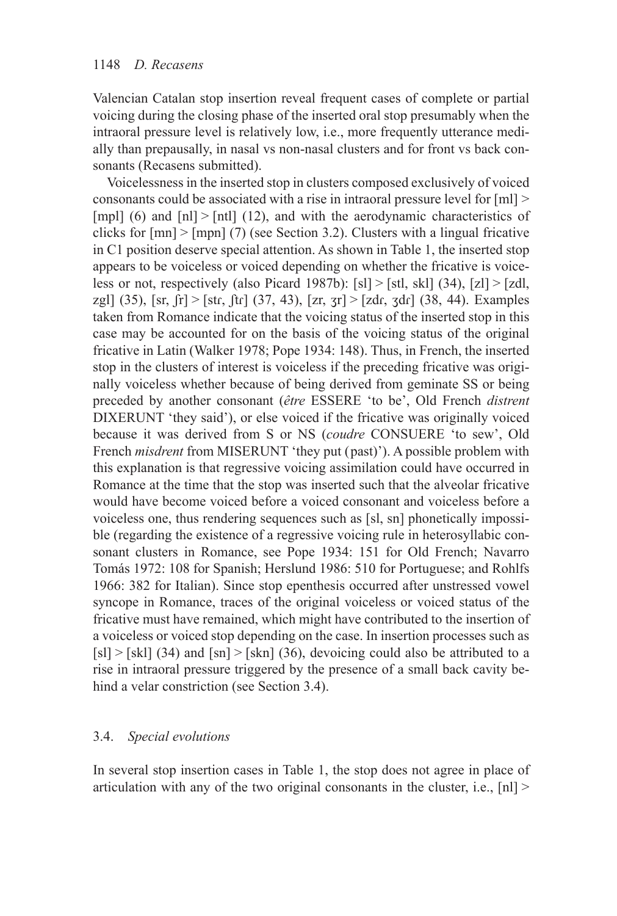Valencian Catalan stop insertion reveal frequent cases of complete or partial voicing during the closing phase of the inserted oral stop presumably when the intraoral pressure level is relatively low, i.e., more frequently utterance medially than prepausally, in nasal vs non-nasal clusters and for front vs back consonants (Recasens submitted).

Voicelessness in the inserted stop in clusters composed exclusively of voiced consonants could be associated with a rise in intraoral pressure level for [ml] > [mpl] (6) and  $[n]$  > [ntl] (12), and with the aerodynamic characteristics of clicks for  $[mn] > [mm]$  (7) (see Section 3.2). Clusters with a lingual fricative in C1 position deserve special attention. As shown in Table 1, the inserted stop appears to be voiceless or voiced depending on whether the fricative is voiceless or not, respectively (also Picard 1987b): [sl] > [stl, skl] (34), [zl] > [zdl, zgl] (35),  $[sr, fr] > [str, fr]$  (37, 43),  $[zr, \tau r] > [zdr, \tau dr]$  (38, 44). Examples taken from Romance indicate that the voicing status of the inserted stop in this case may be accounted for on the basis of the voicing status of the original fricative in Latin (Walker 1978; Pope 1934: 148). Thus, in French, the inserted stop in the clusters of interest is voiceless if the preceding fricative was originally voiceless whether because of being derived from geminate SS or being preceded by another consonant (*être* ESSERE 'to be', Old French *distrent* DIXERUNT 'they said'), or else voiced if the fricative was originally voiced because it was derived from S or NS (*coudre* CONSUERE 'to sew', Old French *misdrent* from MISERUNT 'they put (past)'). A possible problem with this explanation is that regressive voicing assimilation could have occurred in Romance at the time that the stop was inserted such that the alveolar fricative would have become voiced before a voiced consonant and voiceless before a voiceless one, thus rendering sequences such as [sl, sn] phonetically impossible (regarding the existence of a regressive voicing rule in heterosyllabic consonant clusters in Romance, see Pope 1934: 151 for Old French; Navarro Tomás 1972: 108 for Spanish; Herslund 1986: 510 for Portuguese; and Rohlfs 1966: 382 for Italian). Since stop epenthesis occurred after unstressed vowel syncope in Romance, traces of the original voiceless or voiced status of the fricative must have remained, which might have contributed to the insertion of a voiceless or voiced stop depending on the case. In insertion processes such as  $[s] > [sk]$  (34) and  $[sn] > [skn]$  (36), devoicing could also be attributed to a rise in intraoral pressure triggered by the presence of a small back cavity behind a velar constriction (see Section 3.4).

# 3.4. *Special evolutions*

In several stop insertion cases in Table 1, the stop does not agree in place of articulation with any of the two original consonants in the cluster, i.e., [nl] >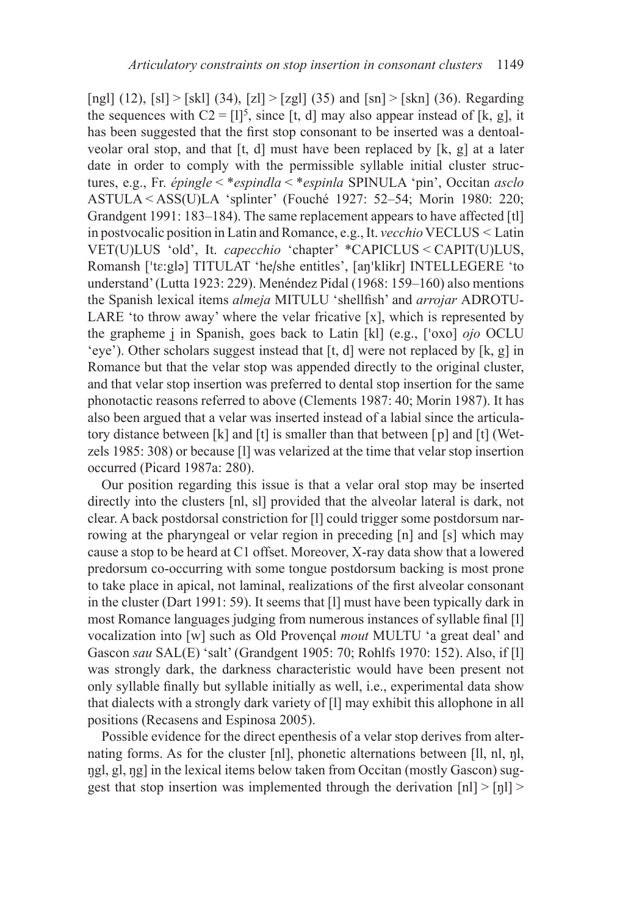[ngl] (12),  $[s] > [sk]$  (34),  $[z] > [zgl]$  (35) and  $[sn] > [skn]$  (36). Regarding the sequences with  $C2 = [1]^5$ , since [t, d] may also appear instead of [k, g], it has been suggested that the first stop consonant to be inserted was a dentoalveolar oral stop, and that [t, d] must have been replaced by [k, g] at a later date in order to comply with the permissible syllable initial cluster structures, e.g., Fr. *épingle* < \**espindla* < \**espinla* SPINULA 'pin', Occitan *asclo* ASTULA < ASS(U)LA 'splinter' (Fouché 1927: 52–54; Morin 1980: 220; Grandgent 1991: 183–184). The same replacement appears to have affected [tl] in postvocalic position in Latin and Romance, e.g., It. *vecchio* VECLUS < Latin VET(U)LUS 'old', It. *capecchio* 'chapter' \*CAPICLUS < CAPIT(U)LUS, Romansh ['tɛ:glə] TITULAT 'he/she entitles', [aŋ'klikr] INTELLEGERE 'to understand' (Lutta 1923: 229). Menéndez Pidal (1968: 159–160) also mentions the Spanish lexical items *almeja* MITULU 'shellfish' and *arrojar* ADROTU-LARE 'to throw away' where the velar fricative  $[x]$ , which is represented by the grapheme *j* in Spanish, goes back to Latin [kl] (e.g., ['oxo] *ojo* OCLU 'eye'). Other scholars suggest instead that [t, d] were not replaced by [k, g] in Romance but that the velar stop was appended directly to the original cluster, and that velar stop insertion was preferred to dental stop insertion for the same phonotactic reasons referred to above (Clements 1987: 40; Morin 1987). It has also been argued that a velar was inserted instead of a labial since the articulatory distance between [k] and [t] is smaller than that between [p] and [t] (Wetzels 1985: 308) or because [l] was velarized at the time that velar stop insertion occurred (Picard 1987a: 280).

Our position regarding this issue is that a velar oral stop may be inserted directly into the clusters [nl, sl] provided that the alveolar lateral is dark, not clear. A back postdorsal constriction for [l] could trigger some postdorsum narrowing at the pharyngeal or velar region in preceding [n] and [s] which may cause a stop to be heard at C1 offset. Moreover, X-ray data show that a lowered predorsum co-occurring with some tongue postdorsum backing is most prone to take place in apical, not laminal, realizations of the first alveolar consonant in the cluster (Dart 1991: 59). It seems that [l] must have been typically dark in most Romance languages judging from numerous instances of syllable final [l] vocalization into [w] such as Old Provençal *mout* MULTU 'a great deal' and Gascon *sau* SAL(E) 'salt' (Grandgent 1905: 70; Rohlfs 1970: 152). Also, if [l] was strongly dark, the darkness characteristic would have been present not only syllable finally but syllable initially as well, i.e., experimental data show that dialects with a strongly dark variety of [l] may exhibit this allophone in all positions (Recasens and Espinosa 2005).

Possible evidence for the direct epenthesis of a velar stop derives from alternating forms. As for the cluster [nl], phonetic alternations between [ll, nl, ŋl, ŋgl, gl, ŋg] in the lexical items below taken from Occitan (mostly Gascon) suggest that stop insertion was implemented through the derivation  $[n]$  >  $[n]$  >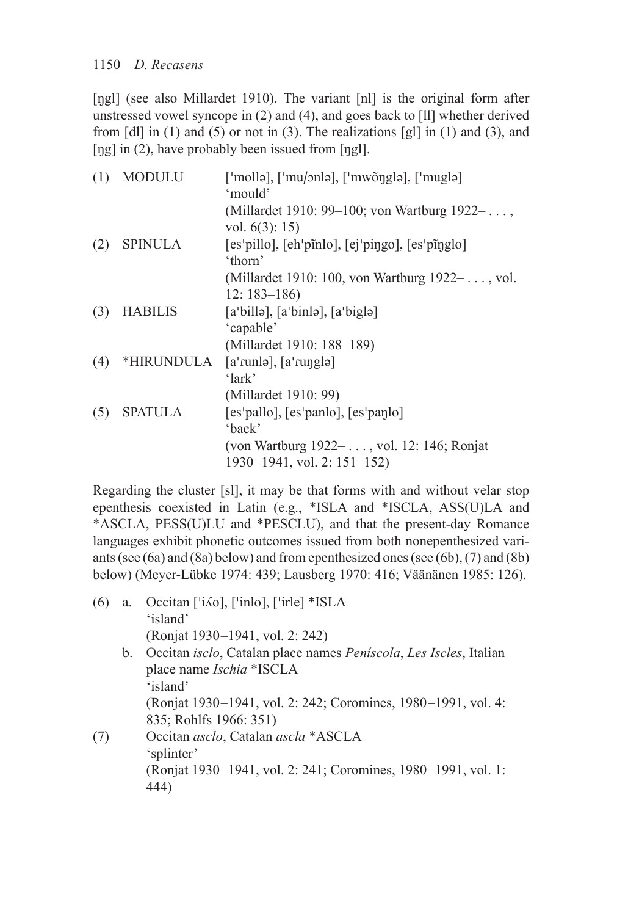[ngl] (see also Millardet 1910). The variant [nl] is the original form after unstressed vowel syncope in (2) and (4), and goes back to [ll] whether derived from  $\left[ \text{dl} \right]$  in (1) and (5) or not in (3). The realizations  $\left[ \text{gl} \right]$  in (1) and (3), and [ng] in (2), have probably been issued from [ngl].

| (1) | <b>MODULU</b>  | ['mollə], ['mu/ɔnlə], ['mwõŋglə], ['muglə]<br>'mould'             |
|-----|----------------|-------------------------------------------------------------------|
|     |                | (Millardet 1910: 99–100; von Wartburg 1922–,<br>vol. $6(3)$ : 15) |
| (2) | <b>SPINULA</b> | [es'pillo], [eh'pinlo], [ej'pingo], [es'pinglo]<br>'thorn'        |
|     |                | (Millardet 1910: 100, von Wartburg 1922–, vol.                    |
|     |                | $12: 183 - 186$                                                   |
| (3) | <b>HABILIS</b> | $[aibillə]$ , $[aibinlə]$ , $[aibiglə]$                           |
|     |                | 'capable'                                                         |
|     |                | (Millardet 1910: 188-189)                                         |
| (4) | *HIRUNDULA     | $[a'$ runlə $]$ , $[a'$ runglə $]$                                |
|     |                | 'lark'                                                            |
|     |                | (Millardet 1910: 99)                                              |
| (5) | <b>SPATULA</b> | [es'pallo], [es'panlo], [es'panlo]                                |
|     |                | 'back'                                                            |
|     |                | (von Wartburg 1922– , vol. 12: 146; Ronjat                        |
|     |                | 1930–1941, vol. 2: 151–152)                                       |
|     |                |                                                                   |

Regarding the cluster [sl], it may be that forms with and without velar stop epenthesis coexisted in Latin (e.g., \*ISLA and \*ISCLA, ASS(U)LA and \*ASCLA, PESS(U)LU and \*PESCLU), and that the present-day Romance languages exhibit phonetic outcomes issued from both nonepenthesized variants (see (6a) and (8a) below) and from epenthesized ones (see (6b), (7) and (8b) below) (Meyer-Lübke 1974: 439; Lausberg 1970: 416; Väänänen 1985: 126).

| (6) | a. | Occitan ['iλo], ['inlo], ['irle] *ISLA                               |
|-----|----|----------------------------------------------------------------------|
|     |    | 'island'                                                             |
|     |    | (Ronjat 1930–1941, vol. 2: 242)                                      |
|     |    | b. Occitan isclo, Catalan place names Peníscola, Les Iscles, Italian |
|     |    | place name Ischia *ISCLA                                             |
|     |    | 'island'                                                             |
|     |    | (Ronjat 1930–1941, vol. 2: 242; Coromines, 1980–1991, vol. 4:        |
|     |    | 835; Rohlfs 1966: 351)                                               |
| (7) |    | Occitan asclo, Catalan ascla *ASCLA                                  |
|     |    | 'splinter'                                                           |
|     |    | (Ronjat 1930-1941, vol. 2: 241; Coromines, 1980-1991, vol. 1:        |
|     |    | 444)                                                                 |
|     |    |                                                                      |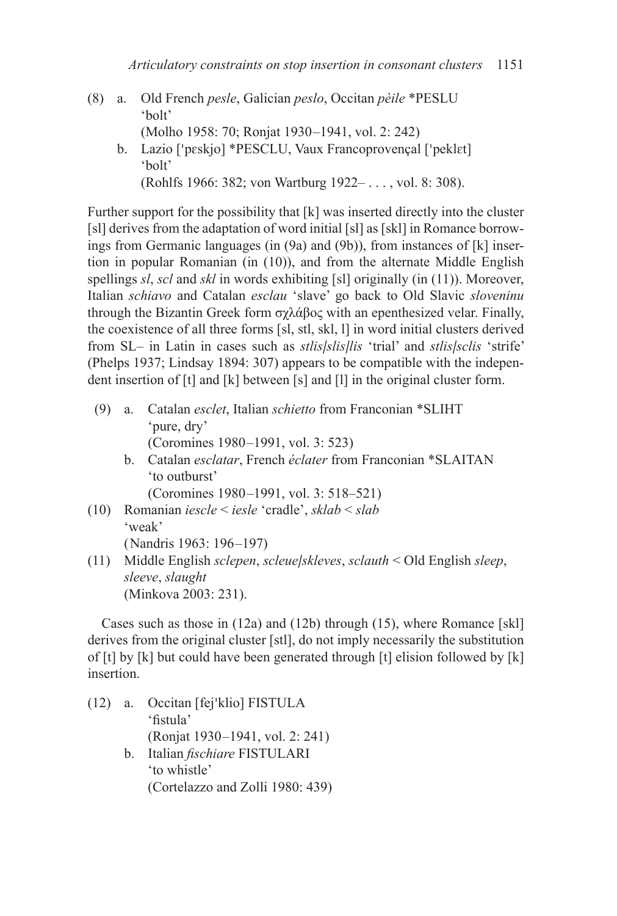(8) a. Old French *pesle*, Galician *peslo*, Occitan *pèile* \*PESLU 'bolt' (Molho 1958: 70; Ronjat 1930 –1941, vol. 2: 242) b. Lazio ['pɛskjo] \*PESCLU, Vaux Francoprovençal ['peklɛt] 'bolt'

(Rohlfs 1966: 382; von Wartburg 1922– . . . , vol. 8: 308).

Further support for the possibility that [k] was inserted directly into the cluster [sl] derives from the adaptation of word initial [sl] as [skl] in Romance borrowings from Germanic languages (in (9a) and (9b)), from instances of [k] insertion in popular Romanian (in (10)), and from the alternate Middle English spellings *sl*, *scl* and *skl* in words exhibiting [sl] originally (in (11)). Moreover, Italian *schiavo* and Catalan *esclau* 'slave' go back to Old Slavic *sloveninu*  through the Bizantin Greek form σχλάβος with an epenthesized velar. Finally, the coexistence of all three forms [sl, stl, skl, l] in word initial clusters derived from SL– in Latin in cases such as *stlis/slis/lis* 'trial' and *stlis/sclis* 'strife' (Phelps 1937; Lindsay 1894: 307) appears to be compatible with the independent insertion of [t] and [k] between [s] and [l] in the original cluster form.

- (9) a. Catalan *esclet*, Italian *schietto* from Franconian \*SLIHT 'pure, dry' (Coromines 1980 –1991, vol. 3: 523)
	- b. Catalan *esclatar*, French *éclater* from Franconian \*SLAITAN 'to outburst' (Coromines 1980 –1991, vol. 3: 518–521)
- (10) Romanian *iescle* < *iesle* 'cradle', *sklab* < *slab* 'weak' ( Nandris 1963: 196 –197)
- (11) Middle English *sclepen*, *scleue*/*skleves*, *sclauth* < Old English *sleep*, *sleeve*, *slaught* (Minkova 2003: 231).

Cases such as those in (12a) and (12b) through (15), where Romance [skl] derives from the original cluster [stl], do not imply necessarily the substitution of [t] by [k] but could have been generated through [t] elision followed by [k] insertion.

(12) a. Occitan [fejklio] FISTULA 'fistula' (Ronjat 1930 –1941, vol. 2: 241) b. Italian *fischiare* FISTULARI 'to whistle' (Cortelazzo and Zolli 1980: 439)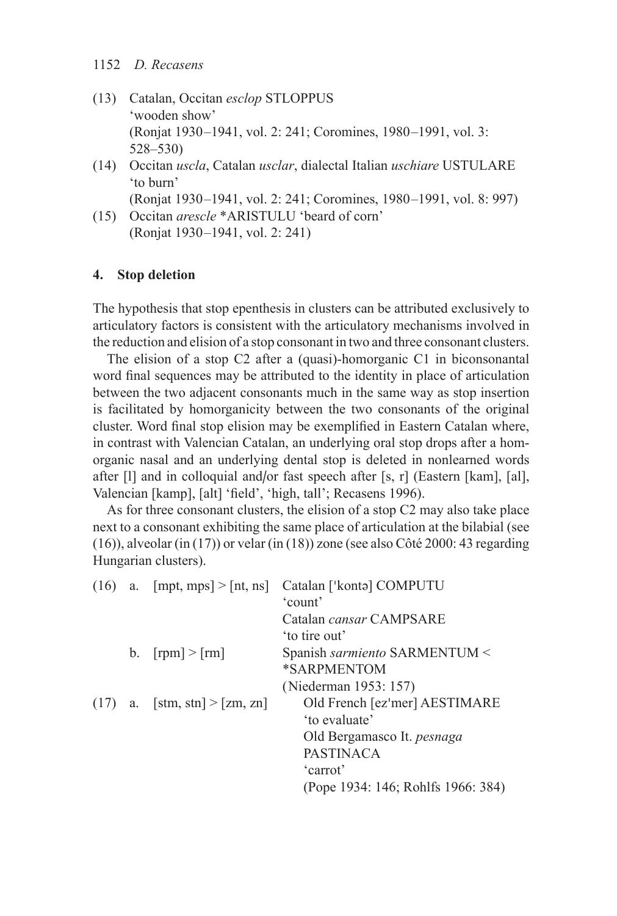- (13) Catalan, Occitan *esclop* STLOPPUS 'wooden show' (Ronjat 1930 –1941, vol. 2: 241; Coromines, 1980 –1991, vol. 3: 528–530)
- (14) Occitan *uscla*, Catalan *usclar*, dialectal Italian *uschiare* USTULARE 'to burn'

```
(Ronjat 1930 –1941, vol. 2: 241; Coromines, 1980 –1991, vol. 8: 997)
```
(15) Occitan *arescle* \*ARISTULU 'beard of corn' (Ronjat 1930 –1941, vol. 2: 241)

# **4. Stop deletion**

The hypothesis that stop epenthesis in clusters can be attributed exclusively to articulatory factors is consistent with the articulatory mechanisms involved in the reduction and elision of a stop consonant in two and three consonant clusters.

The elision of a stop C2 after a (quasi)-homorganic C1 in biconsonantal word final sequences may be attributed to the identity in place of articulation between the two adjacent consonants much in the same way as stop insertion is facilitated by homorganicity between the two consonants of the original cluster. Word final stop elision may be exemplified in Eastern Catalan where, in contrast with Valencian Catalan, an underlying oral stop drops after a homorganic nasal and an underlying dental stop is deleted in nonlearned words after [l] and in colloquial and/or fast speech after [s, r] (Eastern [kam], [al], Valencian [kamp], [alt] 'field', 'high, tall'; Recasens 1996).

As for three consonant clusters, the elision of a stop C2 may also take place next to a consonant exhibiting the same place of articulation at the bilabial (see (16)), alveolar (in (17)) or velar (in (18)) zone (see also Côté 2000: 43 regarding Hungarian clusters).

|  | (16) a. [mpt, mps] > [nt, ns]   | Catalan ['konta] COMPUTU           |
|--|---------------------------------|------------------------------------|
|  |                                 | count'                             |
|  |                                 | Catalan <i>cansar</i> CAMPSARE     |
|  |                                 | to tire out'                       |
|  | b. $[rpm] > [rm]$               | Spanish sarmiento SARMENTUM <      |
|  |                                 | <i><b>*SARPMENTOM</b></i>          |
|  |                                 | (Niederman 1953: 157)              |
|  | $(17)$ a. [stm, stn] > [zm, zn] | Old French [ez'mer] AESTIMARE      |
|  |                                 | 'to evaluate'                      |
|  |                                 | Old Bergamasco It. <i>pesnaga</i>  |
|  |                                 | <b>PASTINACA</b>                   |
|  |                                 | 'carrot'                           |
|  |                                 | (Pope 1934: 146; Rohlfs 1966: 384) |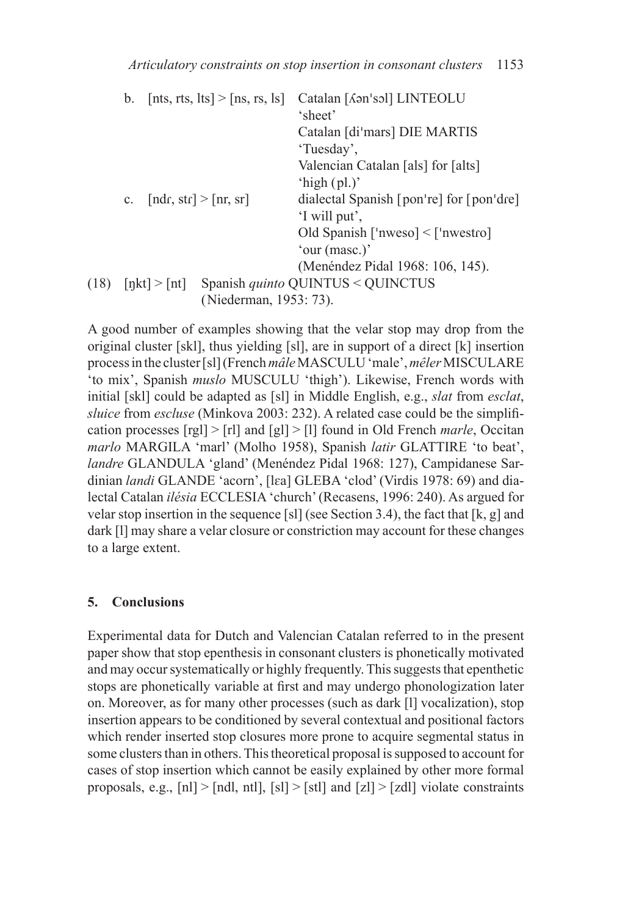|      | $\mathbf{b}$ . |              | [nts, rts, $ ts  >$ [ns, rs, $ s $ ] | Catalan [Aan'sol] LINTEOLU               |
|------|----------------|--------------|--------------------------------------|------------------------------------------|
|      |                |              |                                      | 'sheet'                                  |
|      |                |              |                                      | Catalan [di'mars] DIE MARTIS             |
|      |                |              |                                      | 'Tuesday',                               |
|      |                |              |                                      | Valencian Catalan [als] for [alts]       |
|      |                |              |                                      | 'high $(\text{pl.})'$                    |
|      |                |              | c. $[ndr, str] > [nr, sr]$           | dialectal Spanish [pon're] for [pon'dre] |
|      |                |              |                                      | 'I will put',                            |
|      |                |              |                                      | Old Spanish ['nweso] $\le$ ['nwestro]    |
|      |                |              |                                      | 'our (masc.)'                            |
|      |                |              |                                      | (Menéndez Pidal 1968: 106, 145).         |
| (18) |                | [nkt] > [nt] |                                      | Spanish quinto QUINTUS < QUINCTUS        |
|      |                |              | (Niederman, 1953: 73).               |                                          |

A good number of examples showing that the velar stop may drop from the original cluster [skl], thus yielding [sl], are in support of a direct [k] insertion process in the cluster [sl] (French *mâle* MASCULU 'male', *mêler* MISCULARE 'to mix', Spanish *muslo* MUSCULU 'thigh'). Likewise, French words with initial [skl] could be adapted as [sl] in Middle English, e.g., *slat* from *esclat*, *sluice* from *escluse* (Minkova 2003: 232). A related case could be the simplification processes [rgl] > [rl] and [gl] > [l] found in Old French *marle*, Occitan *marlo* MARGILA 'marl' (Molho 1958), Spanish *latir* GLATTIRE 'to beat', *landre* GLANDULA 'gland' (Menéndez Pidal 1968: 127), Campidanese Sardinian *landi* GLANDE 'acorn', [lɛa] GLEBA 'clod' (Virdis 1978: 69) and dialectal Catalan *ilésia* ECCLESIA 'church' (Recasens, 1996: 240). As argued for velar stop insertion in the sequence [sl] (see Section 3.4), the fact that [k, g] and dark [l] may share a velar closure or constriction may account for these changes to a large extent.

# **5. Conclusions**

Experimental data for Dutch and Valencian Catalan referred to in the present paper show that stop epenthesis in consonant clusters is phonetically motivated and may occur systematically or highly frequently. This suggests that epenthetic stops are phonetically variable at first and may undergo phonologization later on. Moreover, as for many other processes (such as dark [l] vocalization), stop insertion appears to be conditioned by several contextual and positional factors which render inserted stop closures more prone to acquire segmental status in some clusters than in others. This theoretical proposal is supposed to account for cases of stop insertion which cannot be easily explained by other more formal proposals, e.g.,  $[n] > [nd]$ ,  $ntl$ ,  $[s] > [st]$  and  $[z] > [zdl]$  violate constraints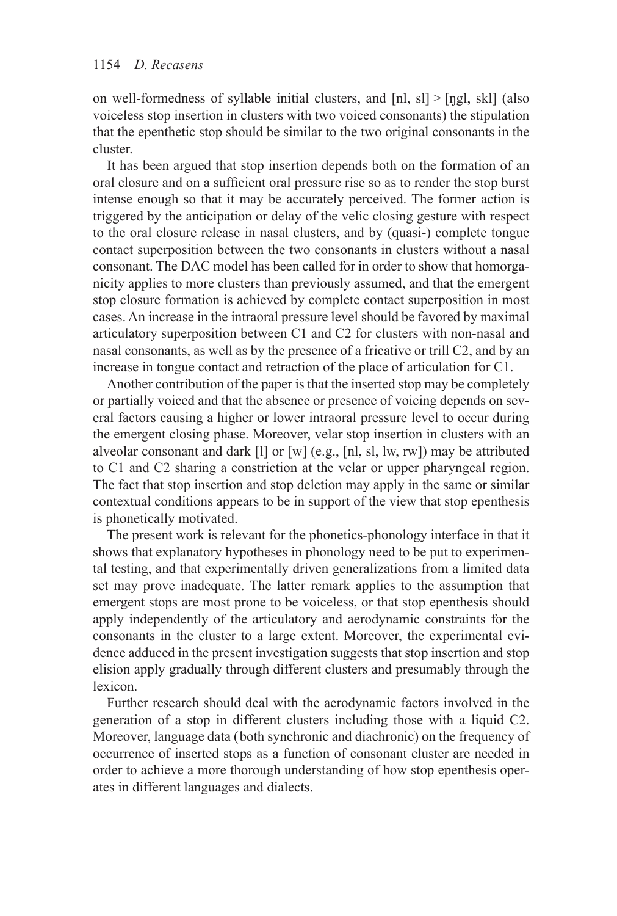on well-formedness of syllable initial clusters, and  $[n, sl] > [ngl, sk]$  (also voiceless stop insertion in clusters with two voiced consonants) the stipulation that the epenthetic stop should be similar to the two original consonants in the cluster.

It has been argued that stop insertion depends both on the formation of an oral closure and on a sufficient oral pressure rise so as to render the stop burst intense enough so that it may be accurately perceived. The former action is triggered by the anticipation or delay of the velic closing gesture with respect to the oral closure release in nasal clusters, and by (quasi-) complete tongue contact superposition between the two consonants in clusters without a nasal consonant. The DAC model has been called for in order to show that homorganicity applies to more clusters than previously assumed, and that the emergent stop closure formation is achieved by complete contact superposition in most cases. An increase in the intraoral pressure level should be favored by maximal articulatory superposition between C1 and C2 for clusters with non-nasal and nasal consonants, as well as by the presence of a fricative or trill C2, and by an increase in tongue contact and retraction of the place of articulation for C1.

Another contribution of the paper is that the inserted stop may be completely or partially voiced and that the absence or presence of voicing depends on several factors causing a higher or lower intraoral pressure level to occur during the emergent closing phase. Moreover, velar stop insertion in clusters with an alveolar consonant and dark [l] or [w] (e.g., [nl, sl, lw, rw]) may be attributed to C1 and C2 sharing a constriction at the velar or upper pharyngeal region. The fact that stop insertion and stop deletion may apply in the same or similar contextual conditions appears to be in support of the view that stop epenthesis is phonetically motivated.

The present work is relevant for the phonetics-phonology interface in that it shows that explanatory hypotheses in phonology need to be put to experimental testing, and that experimentally driven generalizations from a limited data set may prove inadequate. The latter remark applies to the assumption that emergent stops are most prone to be voiceless, or that stop epenthesis should apply independently of the articulatory and aerodynamic constraints for the consonants in the cluster to a large extent. Moreover, the experimental evidence adduced in the present investigation suggests that stop insertion and stop elision apply gradually through different clusters and presumably through the lexicon.

Further research should deal with the aerodynamic factors involved in the generation of a stop in different clusters including those with a liquid C2. Moreover, language data ( both synchronic and diachronic) on the frequency of occurrence of inserted stops as a function of consonant cluster are needed in order to achieve a more thorough understanding of how stop epenthesis operates in different languages and dialects.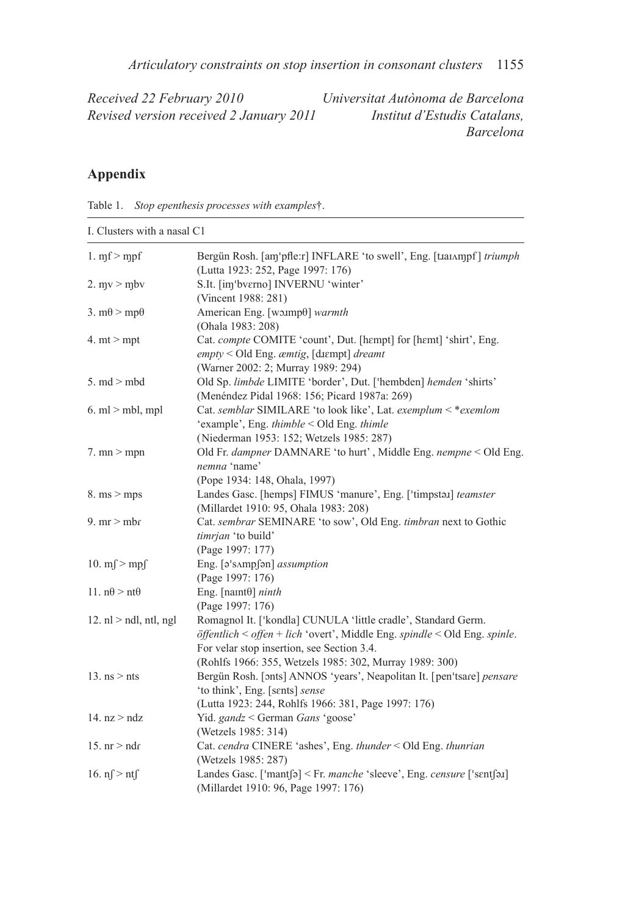*Received 22 February 2010 Universitat Autònoma de Barcelona Revised version received 2 January 2011 Institut d'Estudis Catalans,* 

*Barcelona*

# **Appendix**

| I. Clusters with a nasal C1   |                                                                                                                                                                                                                                                     |  |  |
|-------------------------------|-----------------------------------------------------------------------------------------------------------------------------------------------------------------------------------------------------------------------------------------------------|--|--|
| 1. $mf$ > mpf                 | Bergün Rosh. [am'pfle:r] INFLARE 'to swell', Eng. [tɪaɪʌmpf] triumph<br>(Lutta 1923: 252, Page 1997: 176)                                                                                                                                           |  |  |
| 2. $my > mby$                 | S.It. [im'bverno] INVERNU 'winter'<br>(Vincent 1988: 281)                                                                                                                                                                                           |  |  |
| $3. m\theta > mp\theta$       | American Eng. [wo.ump $\theta$ ] warmth<br>(Ohala 1983: 208)                                                                                                                                                                                        |  |  |
| 4. $mt > mpt$                 | Cat. compte COMITE 'count', Dut. [hɛmpt] for [hɛmt] 'shirt', Eng.<br>empty < Old Eng. æmtig, [dɪɛmpt] dreamt<br>(Warner 2002: 2; Murray 1989: 294)                                                                                                  |  |  |
| 5. $md > mbd$                 | Old Sp. limbde LIMITE 'border', Dut. ['hembden] hemden 'shirts'<br>(Menéndez Pidal 1968: 156; Picard 1987a: 269)                                                                                                                                    |  |  |
| $6. ml > mbl$ , mpl           | Cat. semblar SIMILARE 'to look like', Lat. exemplum < * exemlom<br>'example', Eng. thimble < Old Eng. thimle<br>(Niederman 1953: 152; Wetzels 1985: 287)                                                                                            |  |  |
| 7. $mn > mpn$                 | Old Fr. dampner DAMNARE 'to hurt', Middle Eng. nempne < Old Eng.<br><i>nemna</i> 'name'<br>(Pope 1934: 148, Ohala, 1997)                                                                                                                            |  |  |
| 8. $\text{ms}$ > $\text{mps}$ | Landes Gasc. [hemps] FIMUS 'manure', Eng. ['timpsta1] teamster<br>(Millardet 1910: 95, Ohala 1983: 208)                                                                                                                                             |  |  |
| 9. $mr > mbr$                 | Cat. sembrar SEMINARE 'to sow', Old Eng. timbran next to Gothic<br>timrjan 'to build'<br>(Page 1997: 177)                                                                                                                                           |  |  |
| 10. $mf > mpf$                | Eng. [a'sAmpfan] assumption<br>(Page 1997: 176)                                                                                                                                                                                                     |  |  |
| 11. $n\theta > nt\theta$      | Eng. [namt $\theta$ ] <i>ninth</i><br>(Page 1997: 176)                                                                                                                                                                                              |  |  |
| 12. $nl >$ ndl, ntl, ngl      | Romagnol It. ['kondla] CUNULA 'little cradle', Standard Germ.<br>öffentlich < offen + lich 'overt', Middle Eng. spindle < Old Eng. spinle.<br>For velar stop insertion, see Section 3.4.<br>(Rohlfs 1966: 355, Wetzels 1985: 302, Murray 1989: 300) |  |  |
| 13. $ns > nts$                | Bergün Rosh. [onts] ANNOS 'years', Neapolitan It. [pen'tsare] pensare<br>'to think', Eng. [sents] sense<br>(Lutta 1923: 244, Rohlfs 1966: 381, Page 1997: 176)                                                                                      |  |  |
| 14. $nz > ndz$                | Yid. gandz < German Gans 'goose'<br>(Wetzels 1985: 314)                                                                                                                                                                                             |  |  |
| 15. $nr > ndr$                | Cat. cendra CINERE 'ashes', Eng. thunder < Old Eng. thunrian<br>(Wetzels 1985: 287)                                                                                                                                                                 |  |  |
| 16. $n \ftrsim n \ftrsim$     | Landes Gasc. ['mantfə] < Fr. manche 'sleeve', Eng. censure ['sɛntfəɪ]<br>(Millardet 1910: 96, Page 1997: 176)                                                                                                                                       |  |  |

Table 1. *Stop epenthesis processes with examples*†.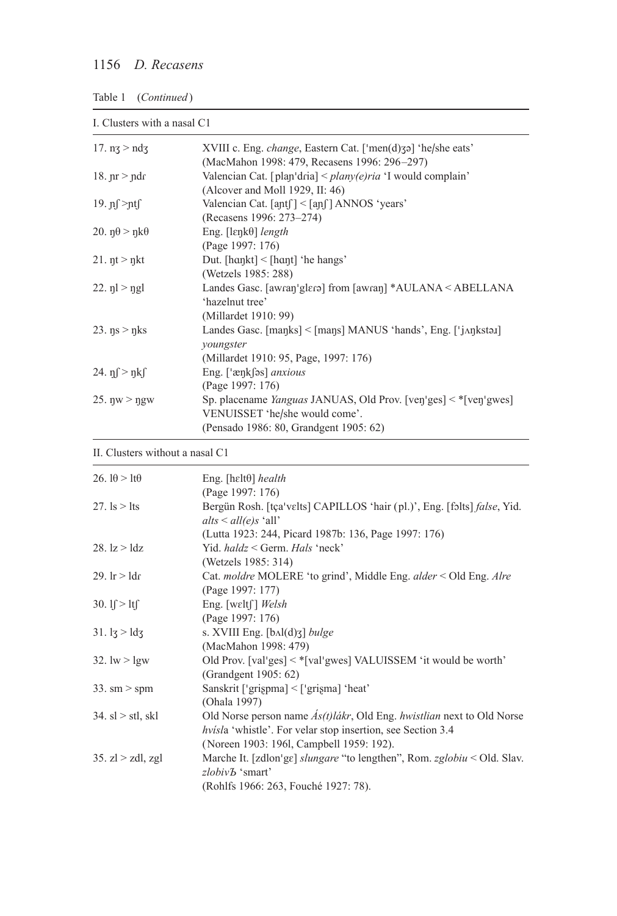# Table 1 (*Continued*)

|  | I. Clusters with a nasal C1 |  |  |  |  |
|--|-----------------------------|--|--|--|--|
|--|-----------------------------|--|--|--|--|

| 17. $nz > ndz$                  | XVIII c. Eng. <i>change</i> , Eastern Cat. ['men(d)3a] 'he/she eats'<br>(MacMahon 1998: 479, Recasens 1996: 296–297)                                   |
|---------------------------------|--------------------------------------------------------------------------------------------------------------------------------------------------------|
| 18. $\text{pr}$ > $\text{ndr}$  | Valencian Cat. [plan'dria] $\leq$ plany(e)ria 'I would complain'<br>(Alcover and Moll 1929, II: 46)                                                    |
| 19. $\eta$ >nt $\int$           | Valencian Cat. [ant $\lceil$ ] < [an $\lceil$ ] ANNOS 'years'<br>(Recasens 1996: 273–274)                                                              |
| $20. \eta\theta > \eta k\theta$ | Eng. [ $\text{lenk}\theta$ ] length<br>(Page 1997: 176)                                                                                                |
| 21. $\eta t > \eta kt$          | Dut. [hankt] $\le$ [hant] 'he hangs'<br>(Wetzels 1985: 288)                                                                                            |
| 22. $nl >$ ngl                  | Landes Gasc. [awran'glera] from [awran] *AULANA $\leq$ ABELLANA<br>'hazelnut tree'<br>(Millardet 1910: 99)                                             |
| 23. $\eta s > \eta ks$          | Landes Gasc. [manks] < [mans] MANUS 'hands', Eng. ['jʌnkstə.i]<br>youngster<br>(Millardet 1910: 95, Page, 1997: 176)                                   |
| 24. $\eta$ > $\eta$ k $\int$    | Eng. [ $\text{rank}[\text{əs}]$ <i>anxious</i><br>(Page 1997: 176)                                                                                     |
| 25. $\eta w > \eta g w$         | Sp. placename <i>Yanguas</i> JANUAS, Old Prov. [ven'ges] $\lt$ *[ven'gwes]<br>VENUISSET 'he/she would come'.<br>(Pensado 1986: 80, Grandgent 1905: 62) |

#### II. Clusters without a nasal C1

| 26.10 > 10                    | Eng. [hɛltθ] health                                                                                  |
|-------------------------------|------------------------------------------------------------------------------------------------------|
|                               | (Page 1997: 176)                                                                                     |
| 27. $ls > Its$                | Bergün Rosh. [tça'vɛlts] CAPILLOS 'hair (pl.)', Eng. [fɔlts] false, Yid.<br>$alts$ < $all(e)s$ 'all' |
|                               | (Lutta 1923: 244, Picard 1987b: 136, Page 1997: 176)                                                 |
| 28.1z > 1dz                   | Yid. haldz < Germ. Hals 'neck'                                                                       |
|                               | (Wetzels 1985: 314)                                                                                  |
| 29. $Ir > Idr$                | Cat. moldre MOLERE 'to grind', Middle Eng. alder < Old Eng. Alre                                     |
|                               | (Page 1997: 177)                                                                                     |
| 30. $1\frac{5}{1}$   t        | Eng. [weltf] Welsh                                                                                   |
|                               | (Page 1997: 176)                                                                                     |
| 31.1z > 1dz                   | s. XVIII Eng. [bʌl(d)3] bulge                                                                        |
|                               | (MacMahon 1998: 479)                                                                                 |
| 32. $lw > lgw$                | Old Prov. [val'ges] < * [val'gwes] VALUISSEM 'it would be worth'                                     |
|                               | (Grandgent 1905: 62)                                                                                 |
| $33. \text{ sm} > \text{spm}$ | Sanskrit ['grispma] < ['grisma] 'heat'                                                               |
|                               | (Ohala 1997)                                                                                         |
| 34. $sl$ > stl, skl           | Old Norse person name $\hat{As}(t)$ lákr, Old Eng. hwistlian next to Old Norse                       |
|                               | <i>hvisla</i> 'whistle'. For velar stop insertion, see Section 3.4                                   |
|                               | (Noreen 1903: 1961, Campbell 1959: 192).                                                             |
| 35. $z \ge z$ dl, $z \ge z$ l | Marche It. [zdlon'g $\varepsilon$ ] <i>slungare</i> "to lengthen", Rom. <i>zglobiu</i> < Old. Slav.  |
|                               | zlobiv <sub>b</sub> 'smart'                                                                          |
|                               | (Rohlfs 1966: 263, Fouché 1927: 78).                                                                 |
|                               |                                                                                                      |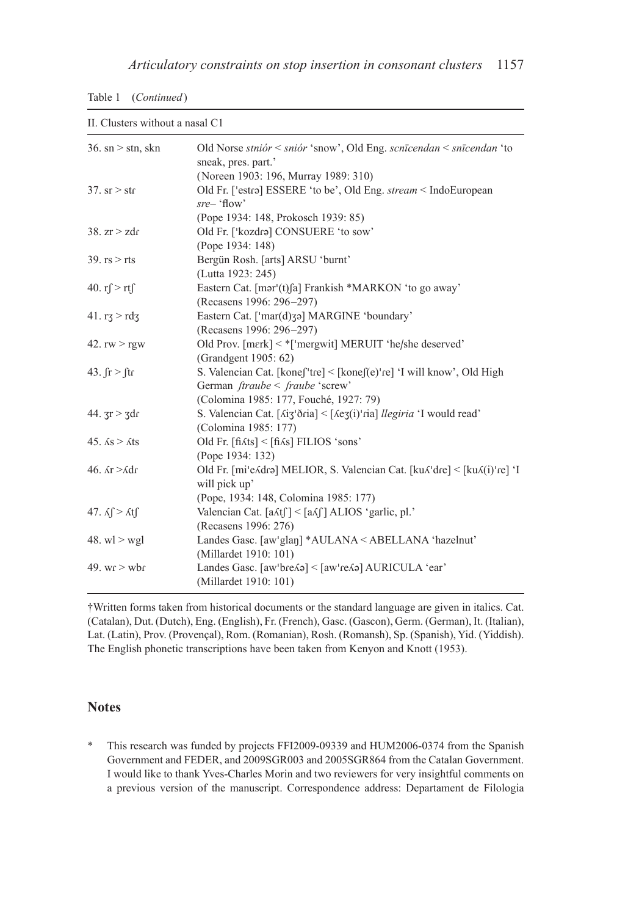| Table 1 |  | (Continued) |
|---------|--|-------------|
|---------|--|-------------|

|  | II. Clusters without a nasal C1 |  |  |  |  |
|--|---------------------------------|--|--|--|--|
|--|---------------------------------|--|--|--|--|

| $36. \text{ sn} > \text{stn}$ , skn    | Old Norse stniór < sniór 'snow', Old Eng. scnicendan < snicendan 'to                     |
|----------------------------------------|------------------------------------------------------------------------------------------|
|                                        | sneak, pres. part.'                                                                      |
|                                        | (Noreen 1903: 196, Murray 1989: 310)                                                     |
| $37.$ sr $>$ str                       | Old Fr. ['estra] ESSERE 'to be', Old Eng. stream < IndoEuropean<br>sre-'flow'            |
|                                        | (Pope 1934: 148, Prokosch 1939: 85)                                                      |
| 38. zr > zdr                           | Old Fr. ['kozdra] CONSUERE 'to sow'                                                      |
|                                        | (Pope 1934: 148)                                                                         |
| 39. $rs > rts$                         | Bergün Rosh. [arts] ARSU 'burnt'                                                         |
|                                        | (Lutta 1923: 245)                                                                        |
| 40. $r \sim r f$                       | Eastern Cat. [mər'(t)fa] Frankish *MARKON 'to go away'                                   |
|                                        | (Recasens 1996: 296-297)                                                                 |
| 41. $r_3 > r d_3$                      | Eastern Cat. ['mar(d)3a] MARGINE 'boundary'                                              |
|                                        | (Recasens 1996: 296-297)                                                                 |
| 42. $rw > rgw$                         | Old Prov. [mɛrk] < *['mergwit] MERUIT 'he/she deserved'                                  |
|                                        | (Grandgent 1905: 62)                                                                     |
| 43. $\int r > f(r) dr$                 | S. Valencian Cat. [konef'tre] < [konef(e)'re] 'I will know', Old High                    |
|                                        | German <i>ftraube</i> < <i>fraube</i> 'screw'                                            |
|                                        | (Colomina 1985: 177, Fouché, 1927: 79)                                                   |
| 44. $\text{gr} > \text{gdr}$           | S. Valencian Cat. [Aiz'ðria] < [Aez(i)'ria] <i>llegiria</i> 'I would read'               |
|                                        | (Colomina 1985: 177)                                                                     |
| 45. $\Delta s > \Delta ts$             | Old Fr. [fi $\Lambda$ ts] < [fi $\Lambda$ s] FILIOS 'sons'                               |
|                                        | (Pope 1934: 132)                                                                         |
| 46. $\delta$ r > $\delta$ dr           | Old Fr. [mi'eAdra] MELIOR, S. Valencian Cat. [kuʎ'dɾe] < [kuʎ(i)'re] 'I<br>will pick up' |
|                                        | (Pope, 1934: 148, Colomina 1985: 177)                                                    |
| 47. $\Lambda$ $>$ $\Lambda$ t $\Gamma$ | Valencian Cat. $[aAtf] < [aAf] ALIOS 'garlic, pl.'$                                      |
|                                        | (Recasens 1996: 276)                                                                     |
| 48. wl $>$ wgl                         | Landes Gasc. [aw'glan] *AULANA <abellana 'hazelnut'<="" td=""></abellana>                |
|                                        | (Millardet 1910: 101)                                                                    |
| 49. $wr > whr$                         | Landes Gasc. [aw'breAa] < [aw'reAa] AURICULA 'ear'                                       |
|                                        | (Millardet 1910: 101)                                                                    |
|                                        |                                                                                          |

†Written forms taken from historical documents or the standard language are given in italics. Cat. (Catalan), Dut. (Dutch), Eng. (English), Fr. (French), Gasc. (Gascon), Germ. (German), It. (Italian), Lat. (Latin), Prov. (Provençal), Rom. (Romanian), Rosh. (Romansh), Sp. (Spanish), Yid. (Yiddish). The English phonetic transcriptions have been taken from Kenyon and Knott (1953).

### **Notes**

This research was funded by projects FFI2009-09339 and HUM2006-0374 from the Spanish Government and FEDER, and 2009SGR003 and 2005SGR864 from the Catalan Government. I would like to thank Yves-Charles Morin and two reviewers for very insightful comments on a previous version of the manuscript. Correspondence address: Departament de Filologia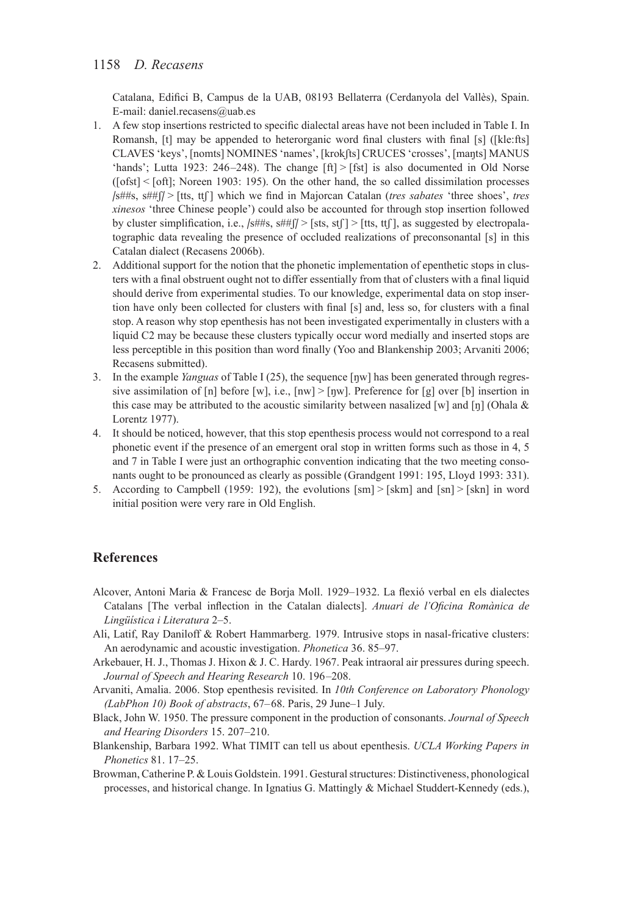Catalana, Edifici B, Campus de la UAB, 08193 Bellaterra (Cerdanyola del Vallès), Spain. E-mail: daniel.recasens@uab.es

- 1. A few stop insertions restricted to specific dialectal areas have not been included in Table I. In Romansh, [t] may be appended to heterorganic word final clusters with final [s] ([kle:fts] CLAVES 'keys', [nomts] NOMINES 'names', [krokʃts] CRUCES 'crosses', [maŋts] MANUS 'hands'; Lutta 1923: 246 –248). The change [ft] > [fst] is also documented in Old Norse  $($ [ofst $]$  < [oft]; Noreen 1903: 195). On the other hand, the so called dissimilation processes /s##s, s##ʃ/ > [tts, ttʃ  ] which we find in Majorcan Catalan (*tres sabates* 'three shoes', *tres xinesos* 'three Chinese people') could also be accounted for through stop insertion followed by cluster simplification, i.e.,  $\frac{1}{8}$  /s  $\frac{1}{8}$  /s  $\frac{1}{8}$  /s  $\frac{1}{8}$  /s is suggested by electropalatographic data revealing the presence of occluded realizations of preconsonantal [s] in this Catalan dialect (Recasens 2006b).
- 2. Additional support for the notion that the phonetic implementation of epenthetic stops in clusters with a final obstruent ought not to differ essentially from that of clusters with a final liquid should derive from experimental studies. To our knowledge, experimental data on stop insertion have only been collected for clusters with final [s] and, less so, for clusters with a final stop. A reason why stop epenthesis has not been investigated experimentally in clusters with a liquid C2 may be because these clusters typically occur word medially and inserted stops are less perceptible in this position than word finally (Yoo and Blankenship 2003; Arvaniti 2006; Recasens submitted).
- 3. In the example *Yanguas* of Table I (25), the sequence [ŋw] has been generated through regressive assimilation of [n] before [w], i.e.,  $\lfloor nw \rfloor$  >  $\lfloor nw \rfloor$ . Preference for [g] over [b] insertion in this case may be attributed to the acoustic similarity between nasalized [w] and [ŋ] (Ohala & Lorentz 1977).
- 4. It should be noticed, however, that this stop epenthesis process would not correspond to a real phonetic event if the presence of an emergent oral stop in written forms such as those in 4, 5 and 7 in Table I were just an orthographic convention indicating that the two meeting consonants ought to be pronounced as clearly as possible (Grandgent 1991: 195, Lloyd 1993: 331).
- 5. According to Campbell (1959: 192), the evolutions  $\lfloor \frac{\text{sm}}{\text{s}} \rfloor$  >  $\lfloor \frac{\text{skm}}{\text{s}} \rfloor$  and  $\lfloor \frac{\text{sm}}{\text{s}} \rfloor$  in word initial position were very rare in Old English.

### **References**

- Alcover, Antoni Maria & Francesc de Borja Moll. 1929–1932. La flexió verbal en els dialectes Catalans [The verbal inflection in the Catalan dialects]. *Anuari de l'Oficina Romànica de Lingüística i Literatura* 2–5.
- Ali, Latif, Ray Daniloff & Robert Hammarberg. 1979. Intrusive stops in nasal-fricative clusters: An aerodynamic and acoustic investigation. *Phonetica* 36. 85–97.
- Arkebauer, H. J., Thomas J. Hixon & J. C. Hardy. 1967. Peak intraoral air pressures during speech. *Journal of Speech and Hearing Research* 10. 196 –208.
- Arvaniti, Amalia. 2006. Stop epenthesis revisited. In *10th Conference on Laboratory Phonology (LabPhon 10) Book of abstracts*, 67– 68. Paris, 29 June–1 July.
- Black, John W. 1950. The pressure component in the production of consonants. *Journal of Speech and Hearing Disorders* 15. 207–210.
- Blankenship, Barbara 1992. What TIMIT can tell us about epenthesis. *UCLA Working Papers in Phonetics* 81. 17–25.
- Browman, Catherine P. & Louis Goldstein. 1991. Gestural structures: Distinctiveness, phonological processes, and historical change. In Ignatius G. Mattingly & Michael Studdert-Kennedy (eds.),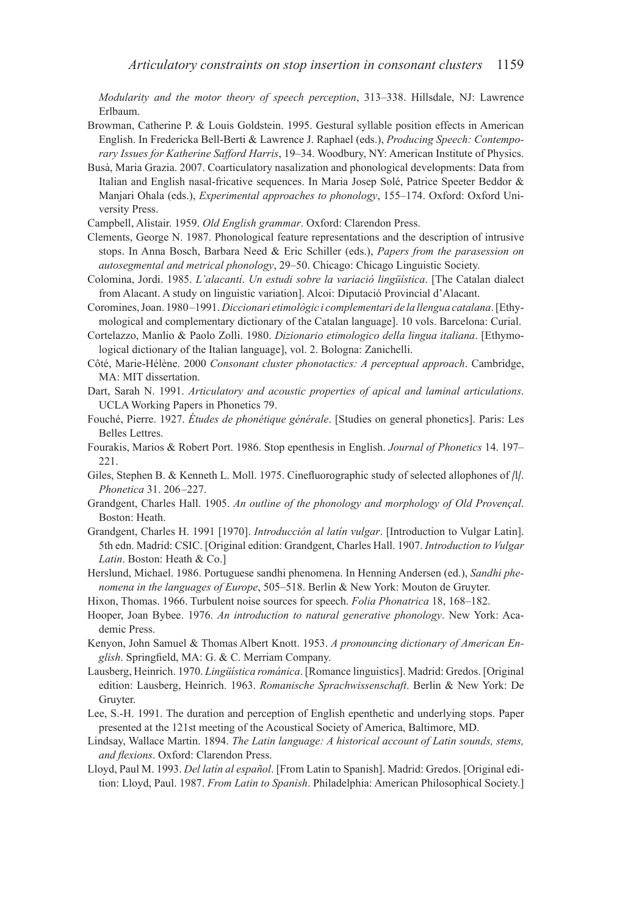*Modularity and the motor theory of speech perception*, 313–338. Hillsdale, NJ: Lawrence Erlbaum.

- Browman, Catherine P. & Louis Goldstein. 1995. Gestural syllable position effects in American English. In Fredericka Bell-Berti & Lawrence J. Raphael (eds.), *Producing Speech: Contemporary Issues for Katherine Safford Harris*, 19–34. Woodbury, NY: American Institute of Physics.
- Busà, Maria Grazia. 2007. Coarticulatory nasalization and phonological developments: Data from Italian and English nasal-fricative sequences. In Maria Josep Solé, Patrice Speeter Beddor & Manjari Ohala (eds.), *Experimental approaches to phonology*, 155–174. Oxford: Oxford University Press.
- Campbell, Alistair. 1959. *Old English grammar*. Oxford: Clarendon Press.
- Clements, George N. 1987. Phonological feature representations and the description of intrusive stops. In Anna Bosch, Barbara Need & Eric Schiller (eds.), *Papers from the parasession on autosegmental and metrical phonology*, 29–50. Chicago: Chicago Linguistic Society.
- Colomina, Jordi. 1985. *L'alacantí*. *Un estudi sobre la variació lingüística*. [The Catalan dialect from Alacant. A study on linguistic variation]. Alcoi: Diputació Provincial d'Alacant.
- Coromines, Joan. 1980 –1991. *Diccionari etimològic i complementari de la llengua catalana*.[Ethymological and complementary dictionary of the Catalan language]. 10 vols. Barcelona: Curial.
- Cortelazzo, Manlio & Paolo Zolli. 1980. *Dizionario etimologico della lingua italiana*. [Ethymological dictionary of the Italian language], vol. 2. Bologna: Zanichelli.
- Côté, Marie-Hélène. 2000 *Consonant cluster phonotactics: A perceptual approach*. Cambridge, MA: MIT dissertation.
- Dart, Sarah N. 1991. *Articulatory and acoustic properties of apical and laminal articulations*. UCLA Working Papers in Phonetics 79.
- Fouché, Pierre. 1927. *Études de phonétique générale*. [Studies on general phonetics]. Paris: Les Belles Lettres.
- Fourakis, Marios & Robert Port. 1986. Stop epenthesis in English. *Journal of Phonetics* 14. 197– 221.
- Giles, Stephen B. & Kenneth L. Moll. 1975. Cinefluorographic study of selected allophones of /l/. *Phonetica* 31. 206 –227.
- Grandgent, Charles Hall. 1905. *An outline of the phonology and morphology of Old Provençal*. Boston: Heath.
- Grandgent, Charles H. 1991 [1970]. *Introducción al latín vulgar*. [Introduction to Vulgar Latin]. 5th edn. Madrid: CSIC. [Original edition: Grandgent, Charles Hall. 1907. *Introduction to Vulgar Latin*. Boston: Heath & Co.]
- Herslund, Michael. 1986. Portuguese sandhi phenomena. In Henning Andersen (ed.), *Sandhi phenomena in the languages of Europe*, 505–518. Berlin & New York: Mouton de Gruyter.
- Hixon, Thomas. 1966. Turbulent noise sources for speech. *Folia Phonatrica* 18, 168–182.
- Hooper, Joan Bybee. 1976. *An introduction to natural generative phonology*. New York: Academic Press.
- Kenyon, John Samuel & Thomas Albert Knott. 1953. *A pronouncing dictionary of American English*. Springfield, MA: G. & C. Merriam Company.
- Lausberg, Heinrich. 1970. *Lingüística románica*. [Romance linguistics]. Madrid: Gredos. [Original edition: Lausberg, Heinrich. 1963. *Romanische Sprachwissenschaft*. Berlin & New York: De Gruyter.
- Lee, S.-H. 1991. The duration and perception of English epenthetic and underlying stops. Paper presented at the 121st meeting of the Acoustical Society of America, Baltimore, MD.
- Lindsay, Wallace Martin. 1894. *The Latin language: A historical account of Latin sounds, stems, and flexions*. Oxford: Clarendon Press.
- Lloyd, Paul M. 1993. *Del latín al español*. [From Latin to Spanish]. Madrid: Gredos. [Original edition: Lloyd, Paul. 1987. *From Latin to Spanish*. Philadelphia: American Philosophical Society.]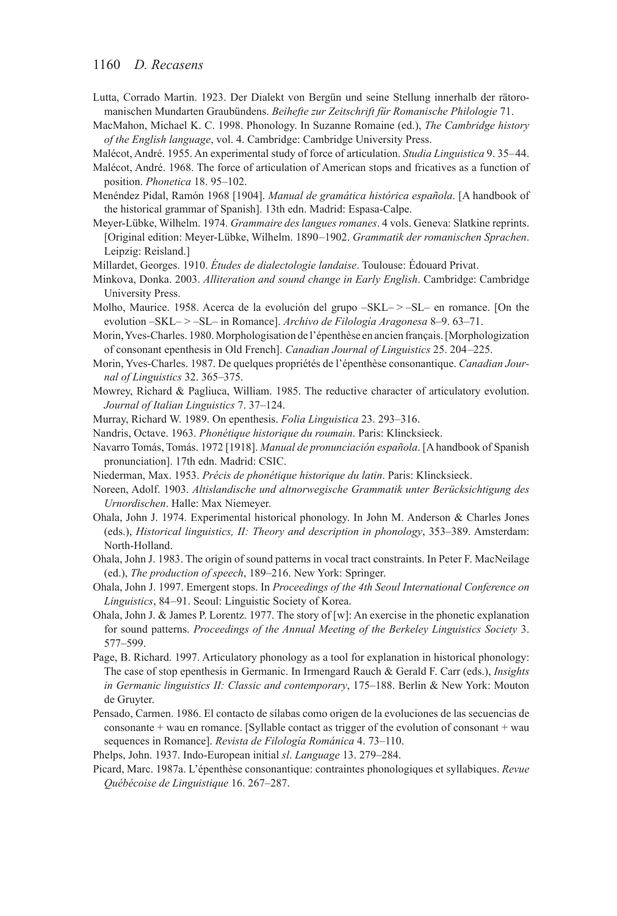- Lutta, Corrado Martin. 1923. Der Dialekt von Bergün und seine Stellung innerhalb der rätoromanischen Mundarten Graubündens. *Beihefte zur Zeitschrift für Romanische Philologie* 71.
- MacMahon, Michael K. C. 1998. Phonology. In Suzanne Romaine (ed.), *The Cambridge history of the English language*, vol. 4. Cambridge: Cambridge University Press.
- Malécot, André. 1955. An experimental study of force of articulation. *Studia Linguistica* 9. 35– 44.
- Malécot, André. 1968. The force of articulation of American stops and fricatives as a function of position. *Phonetica* 18. 95–102.
- Menéndez Pidal, Ramón 1968 [1904]. *Manual de gramática histórica española*. [A handbook of the historical grammar of Spanish]. 13th edn. Madrid: Espasa-Calpe.
- Meyer-Lübke, Wilhelm. 1974. *Grammaire des langues romanes*. 4 vols. Geneva: Slatkine reprints. [Original edition: Meyer-Lübke, Wilhelm. 1890 –1902. *Grammatik der romanischen Sprachen*. Leipzig: Reisland.]
- Millardet, Georges. 1910. *Études de dialectologie landaise*. Toulouse: Édouard Privat.
- Minkova, Donka. 2003. *Alliteration and sound change in Early English*. Cambridge: Cambridge University Press.
- Molho, Maurice. 1958. Acerca de la evolución del grupo –SKL– > –SL– en romance. [On the evolution –SKL– > –SL– in Romance]. *Archivo de Filología Aragonesa* 8–9. 63–71.
- Morin, Yves-Charles. 1980. Morphologisation de l'épenthèse en ancien français. [Morphologization of consonant epenthesis in Old French]. *Canadian Journal of Linguistics* 25. 204 –225.
- Morin, Yves-Charles. 1987. De quelques propriétés de l'épenthèse consonantique. *Canadian Journal of Linguistics* 32. 365–375.
- Mowrey, Richard & Pagliuca, William. 1985. The reductive character of articulatory evolution. *Journal of Italian Linguistics* 7. 37–124.
- Murray, Richard W. 1989. On epenthesis. *Folia Linguistica* 23. 293–316.
- Nandris, Octave. 1963. *Phonétique historique du roumain*. Paris: Klincksieck.
- Navarro Tomás, Tomás. 1972 [1918]. *Manual de pronunciación española*. [A handbook of Spanish pronunciation]. 17th edn. Madrid: CSIC.
- Niederman, Max. 1953. *Précis de phonétique historique du latin*. Paris: Klincksieck.
- Noreen, Adolf. 1903. *Altislandische und altnorwegische Grammatik unter Berücksichtigung des Urnordischen*. Halle: Max Niemeyer.
- Ohala, John J. 1974. Experimental historical phonology. In John M. Anderson & Charles Jones (eds.), *Historical linguistics, II: Theory and description in phonology*, 353–389. Amsterdam: North-Holland.
- Ohala, John J. 1983. The origin of sound patterns in vocal tract constraints. In Peter F. MacNeilage (ed.), *The production of speech*, 189–216. New York: Springer.
- Ohala, John J. 1997. Emergent stops. In *Proceedings of the 4th Seoul International Conference on Linguistics*, 84 –91. Seoul: Linguistic Society of Korea.
- Ohala, John J. & James P. Lorentz. 1977. The story of [w]: An exercise in the phonetic explanation for sound patterns. *Proceedings of the Annual Meeting of the Berkeley Linguistics Society* 3. 577–599.
- Page, B. Richard. 1997. Articulatory phonology as a tool for explanation in historical phonology: The case of stop epenthesis in Germanic. In Irmengard Rauch & Gerald F. Carr (eds.), *Insights in Germanic linguistics II: Classic and contemporary*, 175–188. Berlin & New York: Mouton de Gruyter.
- Pensado, Carmen. 1986. El contacto de sílabas como origen de la evoluciones de las secuencias de consonante + wau en romance. [Syllable contact as trigger of the evolution of consonant + wau sequences in Romance]. *Revista de Filología Románica* 4. 73–110.
- Phelps, John. 1937. Indo-European initial *sl*. *Language* 13. 279–284.
- Picard, Marc. 1987a. L'épenthèse consonantique: contraintes phonologiques et syllabiques. *Revue Québécoise de Linguistique* 16. 267–287.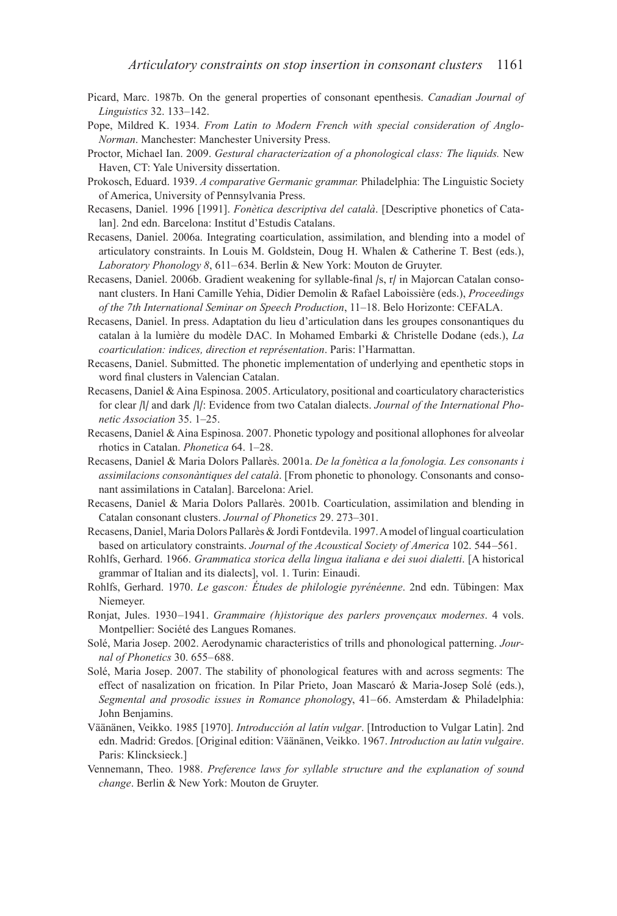- Picard, Marc. 1987b. On the general properties of consonant epenthesis. *Canadian Journal of Linguistics* 32. 133–142.
- Pope, Mildred K. 1934. *From Latin to Modern French with special consideration of Anglo-Norman*. Manchester: Manchester University Press.
- Proctor, Michael Ian. 2009. *Gestural characterization of a phonological class: The liquids.* New Haven, CT: Yale University dissertation.
- Prokosch, Eduard. 1939. *A comparative Germanic grammar.* Philadelphia: The Linguistic Society of America, University of Pennsylvania Press.
- Recasens, Daniel. 1996 [1991]. *Fonètica descriptiva del català*. [Descriptive phonetics of Catalan]. 2nd edn. Barcelona: Institut d'Estudis Catalans.
- Recasens, Daniel. 2006a. Integrating coarticulation, assimilation, and blending into a model of articulatory constraints. In Louis M. Goldstein, Doug H. Whalen & Catherine T. Best (eds.), *Laboratory Phonology 8*, 611– 634. Berlin & New York: Mouton de Gruyter.
- Recasens, Daniel. 2006b. Gradient weakening for syllable-final /s, r/ in Majorcan Catalan consonant clusters. In Hani Camille Yehia, Didier Demolin & Rafael Laboissière (eds.), *Proceedings of the 7th International Seminar on Speech Production*, 11–18. Belo Horizonte: CEFALA.
- Recasens, Daniel. In press. Adaptation du lieu d'articulation dans les groupes consonantiques du catalan à la lumière du modèle DAC. In Mohamed Embarki & Christelle Dodane (eds.), *La coarticulation: indices, direction et représentation*. Paris: l'Harmattan.
- Recasens, Daniel. Submitted. The phonetic implementation of underlying and epenthetic stops in word final clusters in Valencian Catalan.
- Recasens, Daniel & Aina Espinosa. 2005. Articulatory, positional and coarticulatory characteristics for clear /l/ and dark /l/: Evidence from two Catalan dialects. *Journal of the International Phonetic Association* 35. 1–25.
- Recasens, Daniel & Aina Espinosa. 2007. Phonetic typology and positional allophones for alveolar rhotics in Catalan. *Phonetica* 64. 1–28.
- Recasens, Daniel & Maria Dolors Pallarès. 2001a. *De la fonètica a la fonologia. Les consonants i assimilacions consonàntiques del català*. [From phonetic to phonology. Consonants and consonant assimilations in Catalan]. Barcelona: Ariel.
- Recasens, Daniel & Maria Dolors Pallarès. 2001b. Coarticulation, assimilation and blending in Catalan consonant clusters. *Journal of Phonetics* 29. 273–301.
- Recasens, Daniel, Maria Dolors Pallarès & Jordi Fontdevila. 1997. A model of lingual coarticulation based on articulatory constraints. *Journal of the Acoustical Society of America* 102. 544 –561.
- Rohlfs, Gerhard. 1966. *Grammatica storica della lingua italiana e dei suoi dialetti*. [A historical grammar of Italian and its dialects], vol. 1. Turin: Einaudi.
- Rohlfs, Gerhard. 1970. *Le gascon: Études de philologie pyrénéenne*. 2nd edn. Tübingen: Max Niemeyer.
- Ronjat, Jules. 1930 –1941. *Grammaire ( h)istorique des parlers provençaux modernes*. 4 vols. Montpellier: Société des Langues Romanes.
- Solé, Maria Josep. 2002. Aerodynamic characteristics of trills and phonological patterning. *Journal of Phonetics* 30. 655– 688.
- Solé, Maria Josep. 2007. The stability of phonological features with and across segments: The effect of nasalization on frication. In Pilar Prieto, Joan Mascaró & Maria-Josep Solé (eds.), *Segmental and prosodic issues in Romance phonolog*y, 41– 66. Amsterdam & Philadelphia: John Benjamins.
- Väänänen, Veikko. 1985 [1970]. *Introducción al latín vulgar*. [Introduction to Vulgar Latin]. 2nd edn. Madrid: Gredos. [Original edition: Väänänen, Veikko. 1967. *Introduction au latin vulgaire*. Paris: Klincksieck.]
- Vennemann, Theo. 1988. *Preference laws for syllable structure and the explanation of sound change*. Berlin & New York: Mouton de Gruyter.